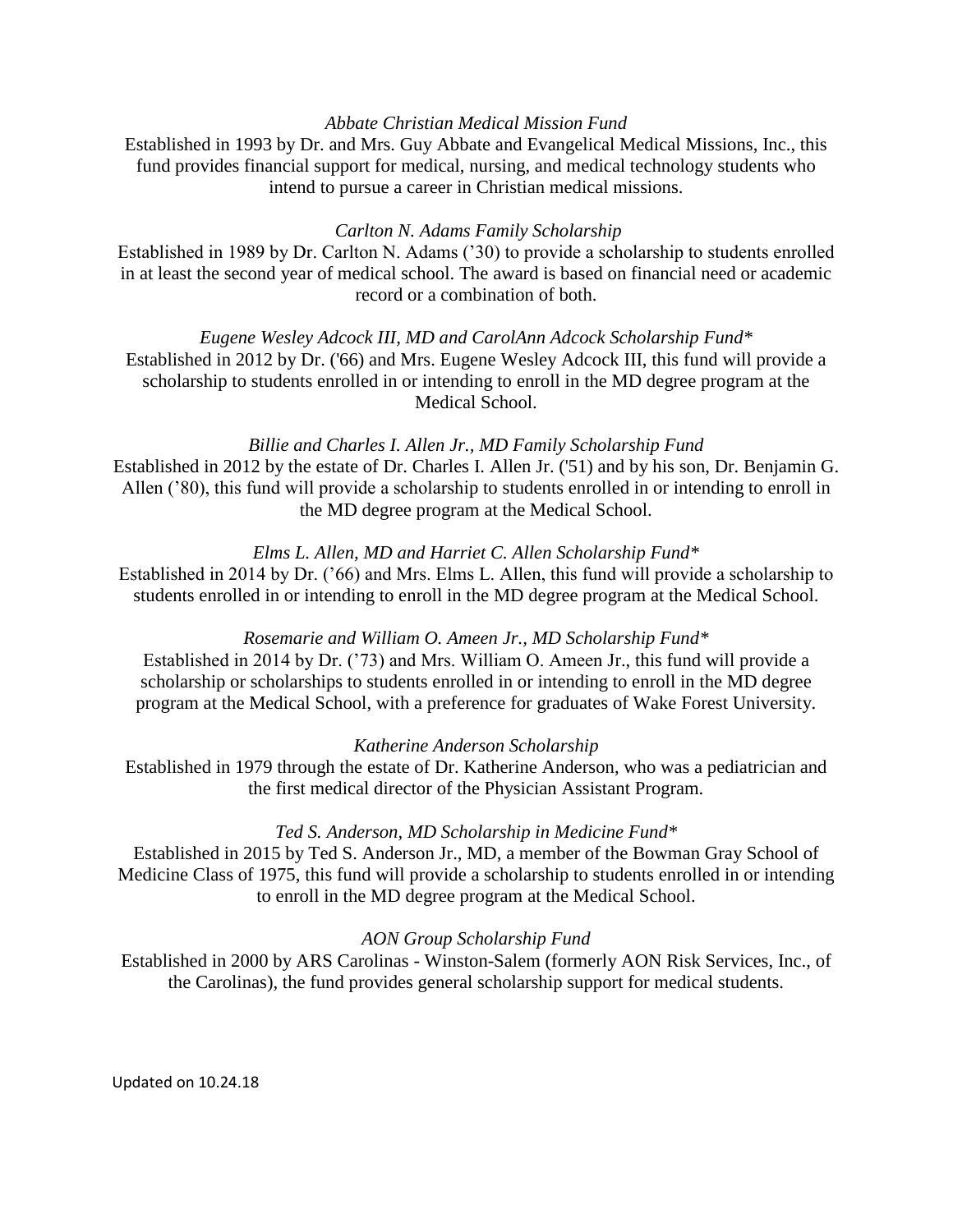# *Abbate Christian Medical Mission Fund*

Established in 1993 by Dr. and Mrs. Guy Abbate and Evangelical Medical Missions, Inc., this fund provides financial support for medical, nursing, and medical technology students who intend to pursue a career in Christian medical missions.

## *Carlton N. Adams Family Scholarship*

Established in 1989 by Dr. Carlton N. Adams ('30) to provide a scholarship to students enrolled in at least the second year of medical school. The award is based on financial need or academic record or a combination of both.

*Eugene Wesley Adcock III, MD and CarolAnn Adcock Scholarship Fund\** Established in 2012 by Dr. ('66) and Mrs. Eugene Wesley Adcock III, this fund will provide a scholarship to students enrolled in or intending to enroll in the MD degree program at the Medical School.

# *Billie and Charles I. Allen Jr., MD Family Scholarship Fund* Established in 2012 by the estate of Dr. Charles I. Allen Jr. ('51) and by his son, Dr. Benjamin G.

Allen ('80), this fund will provide a scholarship to students enrolled in or intending to enroll in the MD degree program at the Medical School.

# *Elms L. Allen, MD and Harriet C. Allen Scholarship Fund\**

Established in 2014 by Dr. ('66) and Mrs. Elms L. Allen, this fund will provide a scholarship to students enrolled in or intending to enroll in the MD degree program at the Medical School.

### *Rosemarie and William O. Ameen Jr., MD Scholarship Fund\**

Established in 2014 by Dr. ('73) and Mrs. William O. Ameen Jr., this fund will provide a scholarship or scholarships to students enrolled in or intending to enroll in the MD degree program at the Medical School, with a preference for graduates of Wake Forest University.

### *Katherine Anderson Scholarship*

Established in 1979 through the estate of Dr. Katherine Anderson, who was a pediatrician and the first medical director of the Physician Assistant Program.

### *Ted S. Anderson, MD Scholarship in Medicine Fund\**

Established in 2015 by Ted S. Anderson Jr., MD, a member of the Bowman Gray School of Medicine Class of 1975, this fund will provide a scholarship to students enrolled in or intending to enroll in the MD degree program at the Medical School.

### *AON Group Scholarship Fund*

Established in 2000 by ARS Carolinas - Winston-Salem (formerly AON Risk Services, Inc., of the Carolinas), the fund provides general scholarship support for medical students.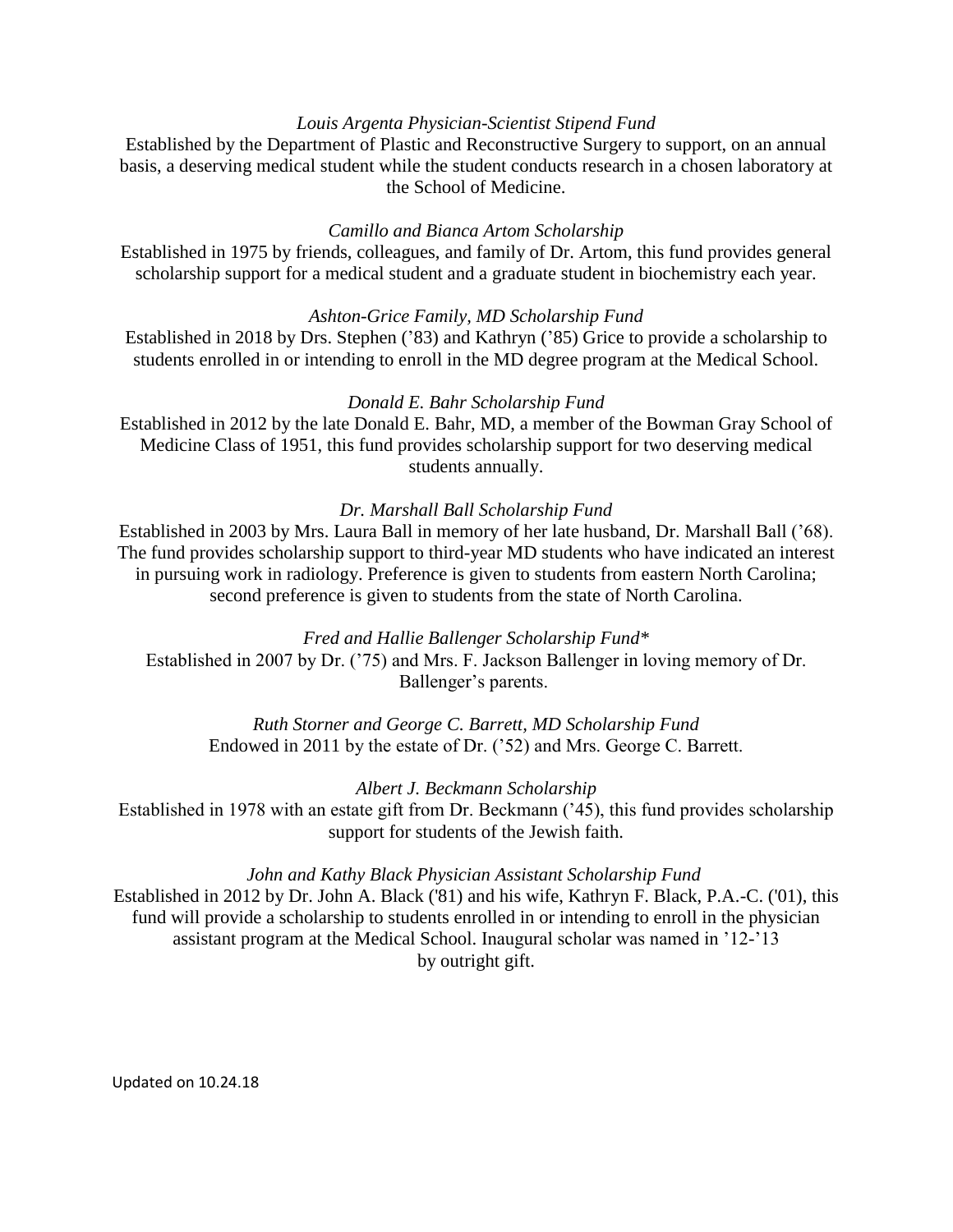## *Louis Argenta Physician-Scientist Stipend Fund*

Established by the Department of Plastic and Reconstructive Surgery to support, on an annual basis, a deserving medical student while the student conducts research in a chosen laboratory at the School of Medicine.

## *Camillo and Bianca Artom Scholarship*

Established in 1975 by friends, colleagues, and family of Dr. Artom, this fund provides general scholarship support for a medical student and a graduate student in biochemistry each year.

### *Ashton-Grice Family, MD Scholarship Fund*

Established in 2018 by Drs. Stephen ('83) and Kathryn ('85) Grice to provide a scholarship to students enrolled in or intending to enroll in the MD degree program at the Medical School.

### *Donald E. Bahr Scholarship Fund*

Established in 2012 by the late Donald E. Bahr, MD, a member of the Bowman Gray School of Medicine Class of 1951, this fund provides scholarship support for two deserving medical students annually.

#### *Dr. Marshall Ball Scholarship Fund*

Established in 2003 by Mrs. Laura Ball in memory of her late husband, Dr. Marshall Ball ('68). The fund provides scholarship support to third-year MD students who have indicated an interest in pursuing work in radiology. Preference is given to students from eastern North Carolina; second preference is given to students from the state of North Carolina.

*Fred and Hallie Ballenger Scholarship Fund\** Established in 2007 by Dr. ('75) and Mrs. F. Jackson Ballenger in loving memory of Dr. Ballenger's parents.

*Ruth Storner and George C. Barrett, MD Scholarship Fund* Endowed in 2011 by the estate of Dr. ('52) and Mrs. George C. Barrett.

#### *Albert J. Beckmann Scholarship*

Established in 1978 with an estate gift from Dr. Beckmann ('45), this fund provides scholarship support for students of the Jewish faith.

### *John and Kathy Black Physician Assistant Scholarship Fund*

Established in 2012 by Dr. John A. Black ('81) and his wife, Kathryn F. Black, P.A.-C. ('01), this fund will provide a scholarship to students enrolled in or intending to enroll in the physician assistant program at the Medical School. Inaugural scholar was named in '12-'13 by outright gift.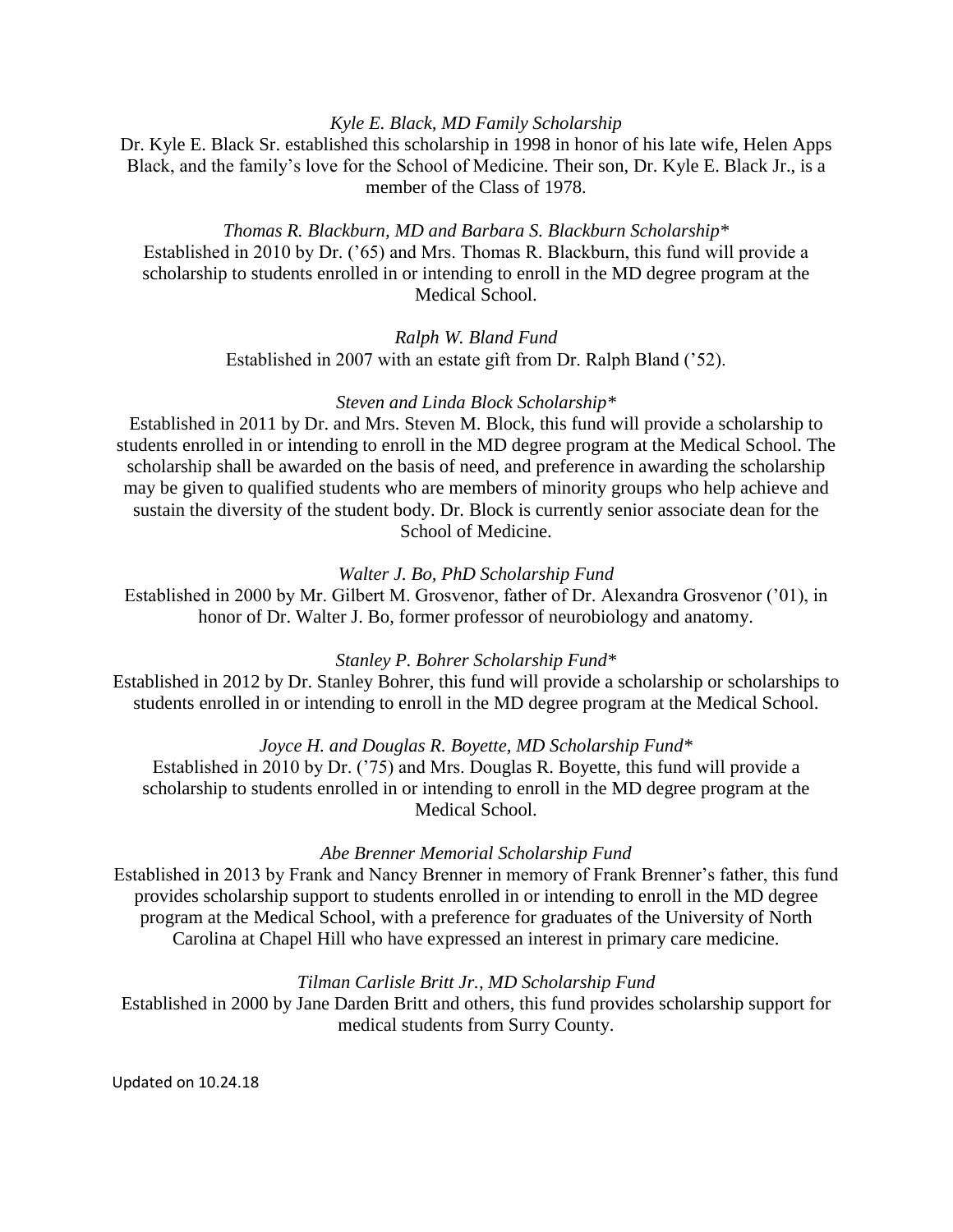## *Kyle E. Black, MD Family Scholarship*

Dr. Kyle E. Black Sr. established this scholarship in 1998 in honor of his late wife, Helen Apps Black, and the family's love for the School of Medicine. Their son, Dr. Kyle E. Black Jr., is a member of the Class of 1978.

## *Thomas R. Blackburn, MD and Barbara S. Blackburn Scholarship\**

Established in 2010 by Dr. ('65) and Mrs. Thomas R. Blackburn, this fund will provide a scholarship to students enrolled in or intending to enroll in the MD degree program at the Medical School.

> *Ralph W. Bland Fund* Established in 2007 with an estate gift from Dr. Ralph Bland ('52).

### *Steven and Linda Block Scholarship\**

Established in 2011 by Dr. and Mrs. Steven M. Block, this fund will provide a scholarship to students enrolled in or intending to enroll in the MD degree program at the Medical School. The scholarship shall be awarded on the basis of need, and preference in awarding the scholarship may be given to qualified students who are members of minority groups who help achieve and sustain the diversity of the student body. Dr. Block is currently senior associate dean for the School of Medicine.

### *Walter J. Bo, PhD Scholarship Fund*

Established in 2000 by Mr. Gilbert M. Grosvenor, father of Dr. Alexandra Grosvenor ('01), in honor of Dr. Walter J. Bo, former professor of neurobiology and anatomy.

#### *Stanley P. Bohrer Scholarship Fund\**

Established in 2012 by Dr. Stanley Bohrer, this fund will provide a scholarship or scholarships to students enrolled in or intending to enroll in the MD degree program at the Medical School.

# *Joyce H. and Douglas R. Boyette, MD Scholarship Fund\**

Established in 2010 by Dr. ('75) and Mrs. Douglas R. Boyette, this fund will provide a scholarship to students enrolled in or intending to enroll in the MD degree program at the Medical School.

#### *Abe Brenner Memorial Scholarship Fund*

Established in 2013 by Frank and Nancy Brenner in memory of Frank Brenner's father, this fund provides scholarship support to students enrolled in or intending to enroll in the MD degree program at the Medical School, with a preference for graduates of the University of North Carolina at Chapel Hill who have expressed an interest in primary care medicine.

#### *Tilman Carlisle Britt Jr., MD Scholarship Fund*

Established in 2000 by Jane Darden Britt and others, this fund provides scholarship support for medical students from Surry County.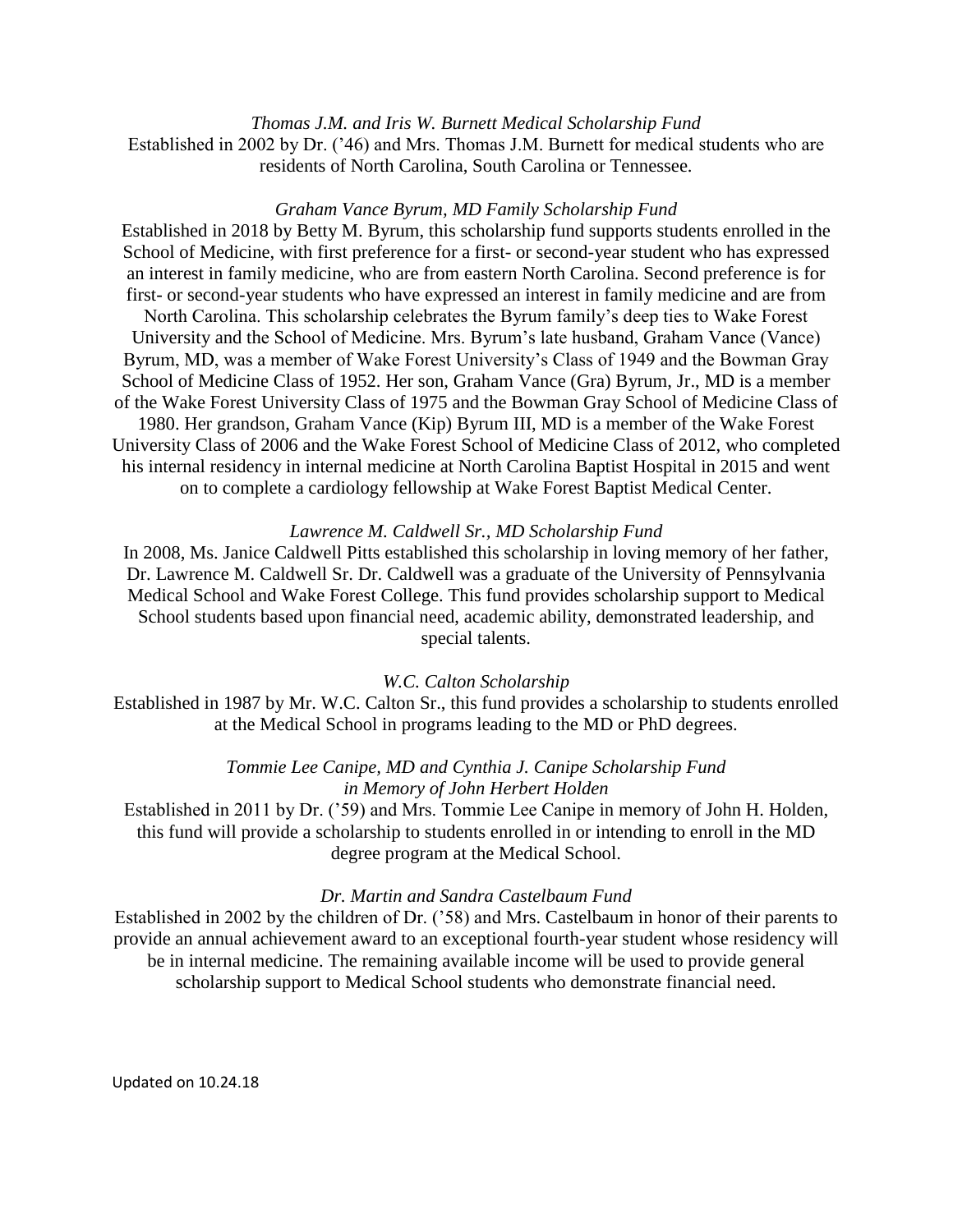*Thomas J.M. and Iris W. Burnett Medical Scholarship Fund* Established in 2002 by Dr. ('46) and Mrs. Thomas J.M. Burnett for medical students who are residents of North Carolina, South Carolina or Tennessee.

#### *Graham Vance Byrum, MD Family Scholarship Fund*

Established in 2018 by Betty M. Byrum, this scholarship fund supports students enrolled in the School of Medicine, with first preference for a first- or second-year student who has expressed an interest in family medicine, who are from eastern North Carolina. Second preference is for first- or second-year students who have expressed an interest in family medicine and are from North Carolina. This scholarship celebrates the Byrum family's deep ties to Wake Forest University and the School of Medicine. Mrs. Byrum's late husband, Graham Vance (Vance) Byrum, MD, was a member of Wake Forest University's Class of 1949 and the Bowman Gray School of Medicine Class of 1952. Her son, Graham Vance (Gra) Byrum, Jr., MD is a member of the Wake Forest University Class of 1975 and the Bowman Gray School of Medicine Class of 1980. Her grandson, Graham Vance (Kip) Byrum III, MD is a member of the Wake Forest University Class of 2006 and the Wake Forest School of Medicine Class of 2012, who completed his internal residency in internal medicine at North Carolina Baptist Hospital in 2015 and went on to complete a cardiology fellowship at Wake Forest Baptist Medical Center.

### *Lawrence M. Caldwell Sr., MD Scholarship Fund*

In 2008, Ms. Janice Caldwell Pitts established this scholarship in loving memory of her father, Dr. Lawrence M. Caldwell Sr. Dr. Caldwell was a graduate of the University of Pennsylvania Medical School and Wake Forest College. This fund provides scholarship support to Medical School students based upon financial need, academic ability, demonstrated leadership, and special talents.

### *W.C. Calton Scholarship*

Established in 1987 by Mr. W.C. Calton Sr., this fund provides a scholarship to students enrolled at the Medical School in programs leading to the MD or PhD degrees.

> *Tommie Lee Canipe, MD and Cynthia J. Canipe Scholarship Fund in Memory of John Herbert Holden*

Established in 2011 by Dr. ('59) and Mrs. Tommie Lee Canipe in memory of John H. Holden, this fund will provide a scholarship to students enrolled in or intending to enroll in the MD degree program at the Medical School.

### *Dr. Martin and Sandra Castelbaum Fund*

Established in 2002 by the children of Dr. ('58) and Mrs. Castelbaum in honor of their parents to provide an annual achievement award to an exceptional fourth-year student whose residency will be in internal medicine. The remaining available income will be used to provide general scholarship support to Medical School students who demonstrate financial need.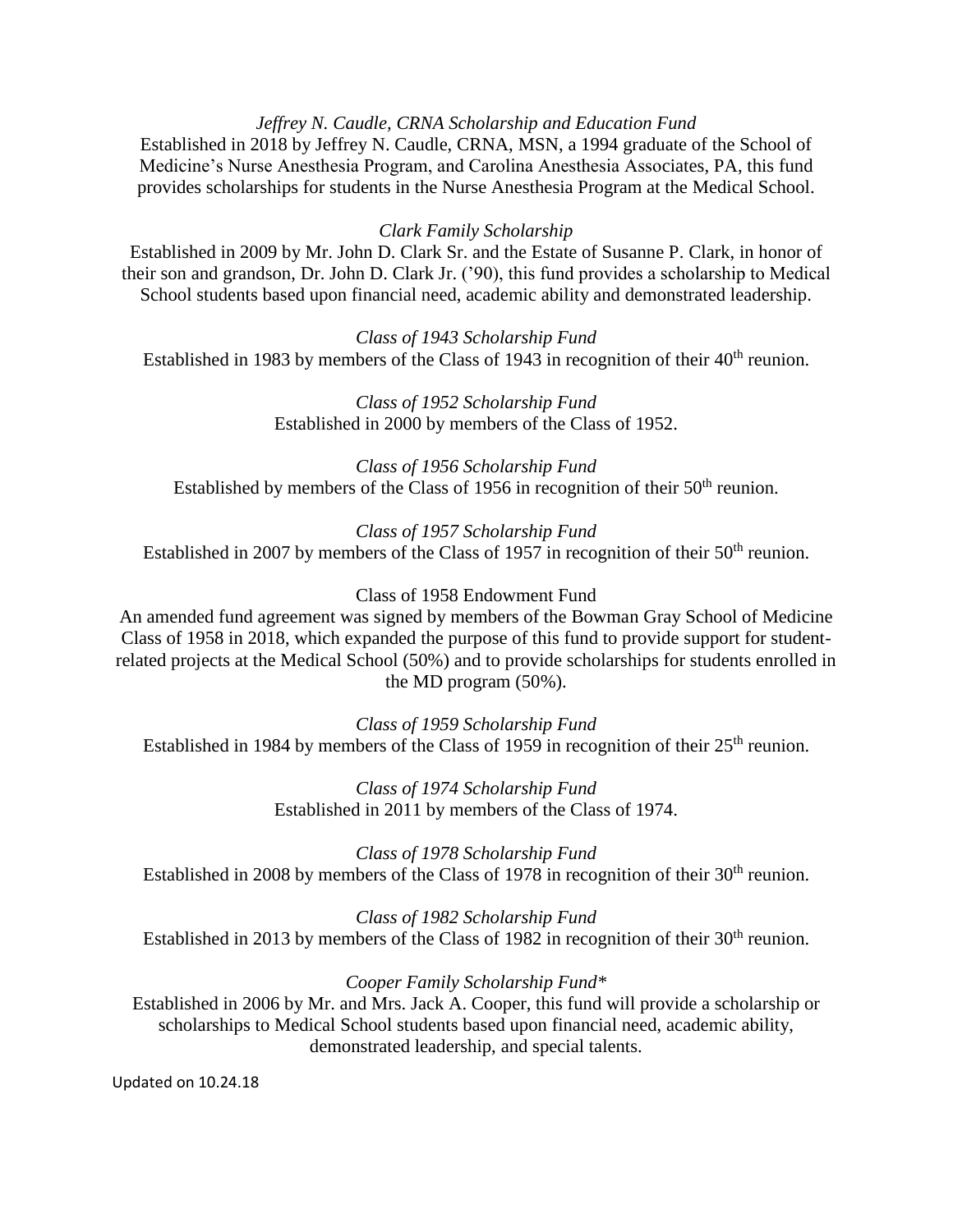## *Jeffrey N. Caudle, CRNA Scholarship and Education Fund*

Established in 2018 by Jeffrey N. Caudle, CRNA, MSN, a 1994 graduate of the School of Medicine's Nurse Anesthesia Program, and Carolina Anesthesia Associates, PA, this fund provides scholarships for students in the Nurse Anesthesia Program at the Medical School.

### *Clark Family Scholarship*

Established in 2009 by Mr. John D. Clark Sr. and the Estate of Susanne P. Clark, in honor of their son and grandson, Dr. John D. Clark Jr. ('90), this fund provides a scholarship to Medical School students based upon financial need, academic ability and demonstrated leadership.

*Class of 1943 Scholarship Fund* Established in 1983 by members of the Class of 1943 in recognition of their  $40<sup>th</sup>$  reunion.

> *Class of 1952 Scholarship Fund* Established in 2000 by members of the Class of 1952.

*Class of 1956 Scholarship Fund* Established by members of the Class of 1956 in recognition of their 50<sup>th</sup> reunion.

*Class of 1957 Scholarship Fund* Established in 2007 by members of the Class of 1957 in recognition of their  $50<sup>th</sup>$  reunion.

### Class of 1958 Endowment Fund

An amended fund agreement was signed by members of the Bowman Gray School of Medicine Class of 1958 in 2018, which expanded the purpose of this fund to provide support for studentrelated projects at the Medical School (50%) and to provide scholarships for students enrolled in the MD program (50%).

*Class of 1959 Scholarship Fund* Established in 1984 by members of the Class of 1959 in recognition of their 25<sup>th</sup> reunion.

> *Class of 1974 Scholarship Fund* Established in 2011 by members of the Class of 1974.

*Class of 1978 Scholarship Fund* Established in 2008 by members of the Class of 1978 in recognition of their 30<sup>th</sup> reunion.

*Class of 1982 Scholarship Fund* Established in 2013 by members of the Class of 1982 in recognition of their  $30<sup>th</sup>$  reunion.

*Cooper Family Scholarship Fund\** Established in 2006 by Mr. and Mrs. Jack A. Cooper, this fund will provide a scholarship or scholarships to Medical School students based upon financial need, academic ability, demonstrated leadership, and special talents.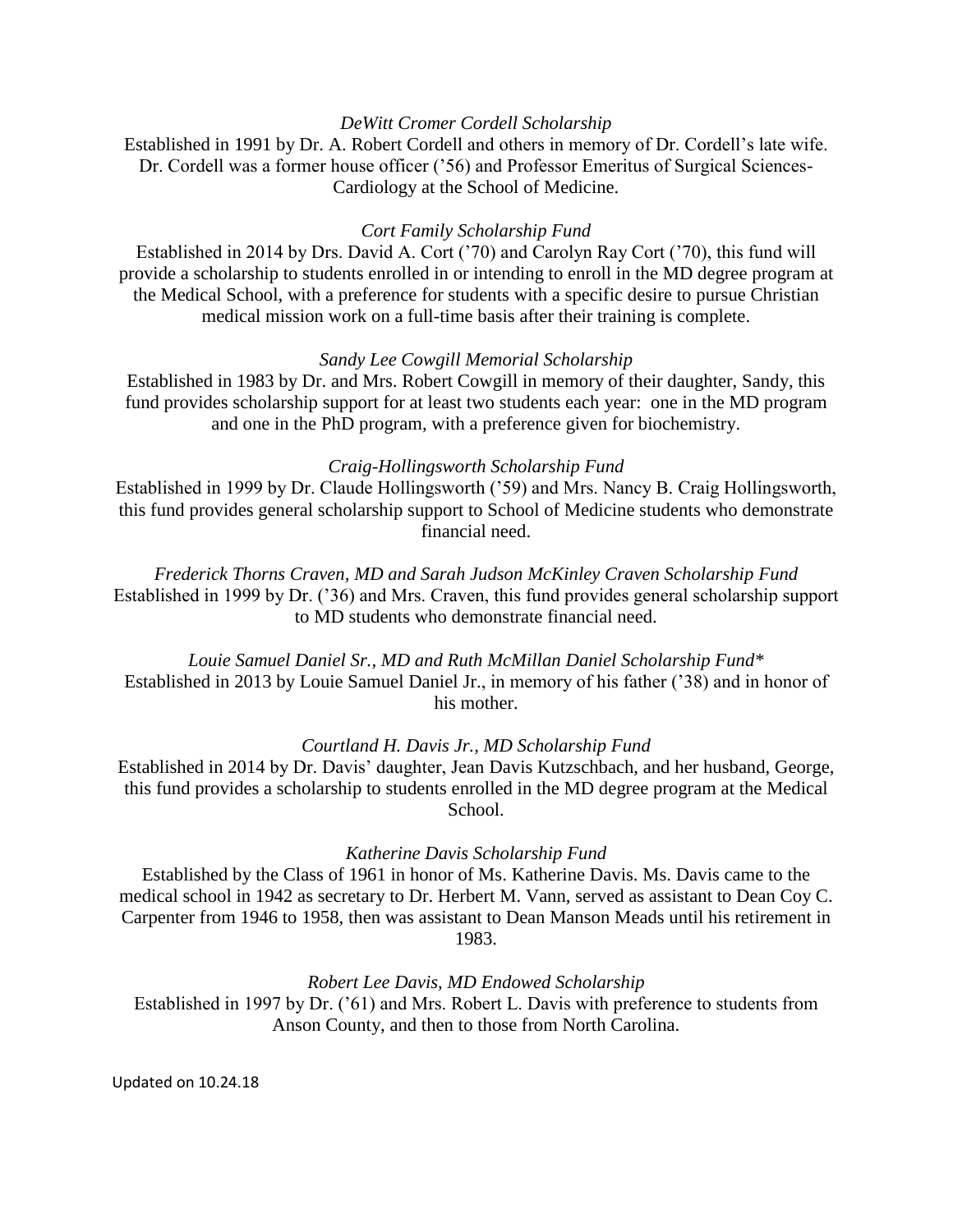# *DeWitt Cromer Cordell Scholarship*

Established in 1991 by Dr. A. Robert Cordell and others in memory of Dr. Cordell's late wife. Dr. Cordell was a former house officer ('56) and Professor Emeritus of Surgical Sciences-Cardiology at the School of Medicine.

## *Cort Family Scholarship Fund*

Established in 2014 by Drs. David A. Cort ('70) and Carolyn Ray Cort ('70), this fund will provide a scholarship to students enrolled in or intending to enroll in the MD degree program at the Medical School, with a preference for students with a specific desire to pursue Christian medical mission work on a full-time basis after their training is complete.

### *Sandy Lee Cowgill Memorial Scholarship*

Established in 1983 by Dr. and Mrs. Robert Cowgill in memory of their daughter, Sandy, this fund provides scholarship support for at least two students each year: one in the MD program and one in the PhD program, with a preference given for biochemistry.

# *Craig-Hollingsworth Scholarship Fund*

Established in 1999 by Dr. Claude Hollingsworth ('59) and Mrs. Nancy B. Craig Hollingsworth, this fund provides general scholarship support to School of Medicine students who demonstrate financial need.

*Frederick Thorns Craven, MD and Sarah Judson McKinley Craven Scholarship Fund* Established in 1999 by Dr. ('36) and Mrs. Craven, this fund provides general scholarship support to MD students who demonstrate financial need.

*Louie Samuel Daniel Sr., MD and Ruth McMillan Daniel Scholarship Fund\** Established in 2013 by Louie Samuel Daniel Jr., in memory of his father ('38) and in honor of his mother.

# *Courtland H. Davis Jr., MD Scholarship Fund*

Established in 2014 by Dr. Davis' daughter, Jean Davis Kutzschbach, and her husband, George, this fund provides a scholarship to students enrolled in the MD degree program at the Medical School.

### *Katherine Davis Scholarship Fund*

Established by the Class of 1961 in honor of Ms. Katherine Davis. Ms. Davis came to the medical school in 1942 as secretary to Dr. Herbert M. Vann, served as assistant to Dean Coy C. Carpenter from 1946 to 1958, then was assistant to Dean Manson Meads until his retirement in 1983.

*Robert Lee Davis, MD Endowed Scholarship* Established in 1997 by Dr. ('61) and Mrs. Robert L. Davis with preference to students from

Anson County, and then to those from North Carolina.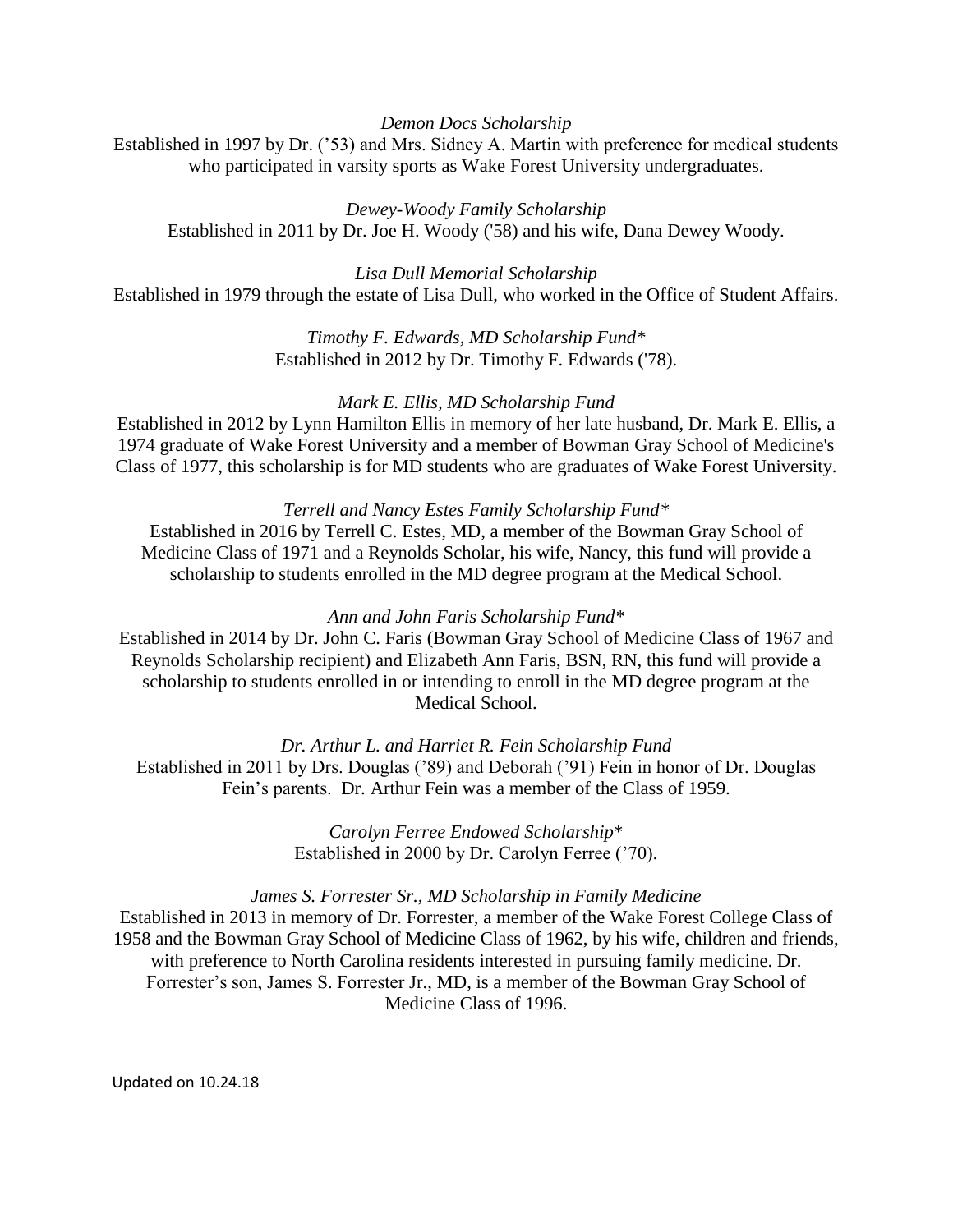*Demon Docs Scholarship*

Established in 1997 by Dr. ('53) and Mrs. Sidney A. Martin with preference for medical students who participated in varsity sports as Wake Forest University undergraduates.

*Dewey-Woody Family Scholarship* Established in 2011 by Dr. Joe H. Woody ('58) and his wife, Dana Dewey Woody.

*Lisa Dull Memorial Scholarship* Established in 1979 through the estate of Lisa Dull, who worked in the Office of Student Affairs.

> *Timothy F. Edwards, MD Scholarship Fund\** Established in 2012 by Dr. Timothy F. Edwards ('78).

# *Mark E. Ellis, MD Scholarship Fund*

Established in 2012 by Lynn Hamilton Ellis in memory of her late husband, Dr. Mark E. Ellis, a 1974 graduate of Wake Forest University and a member of Bowman Gray School of Medicine's Class of 1977, this scholarship is for MD students who are graduates of Wake Forest University.

# *Terrell and Nancy Estes Family Scholarship Fund\**

Established in 2016 by Terrell C. Estes, MD, a member of the Bowman Gray School of Medicine Class of 1971 and a Reynolds Scholar, his wife, Nancy, this fund will provide a scholarship to students enrolled in the MD degree program at the Medical School.

# *Ann and John Faris Scholarship Fund\**

Established in 2014 by Dr. John C. Faris (Bowman Gray School of Medicine Class of 1967 and Reynolds Scholarship recipient) and Elizabeth Ann Faris, BSN, RN, this fund will provide a scholarship to students enrolled in or intending to enroll in the MD degree program at the Medical School.

*Dr. Arthur L. and Harriet R. Fein Scholarship Fund* Established in 2011 by Drs. Douglas ('89) and Deborah ('91) Fein in honor of Dr. Douglas Fein's parents. Dr. Arthur Fein was a member of the Class of 1959.

> *Carolyn Ferree Endowed Scholarship*\* Established in 2000 by Dr. Carolyn Ferree ('70).

# *James S. Forrester Sr., MD Scholarship in Family Medicine*

Established in 2013 in memory of Dr. Forrester, a member of the Wake Forest College Class of 1958 and the Bowman Gray School of Medicine Class of 1962, by his wife, children and friends, with preference to North Carolina residents interested in pursuing family medicine. Dr. Forrester's son, James S. Forrester Jr., MD, is a member of the Bowman Gray School of Medicine Class of 1996.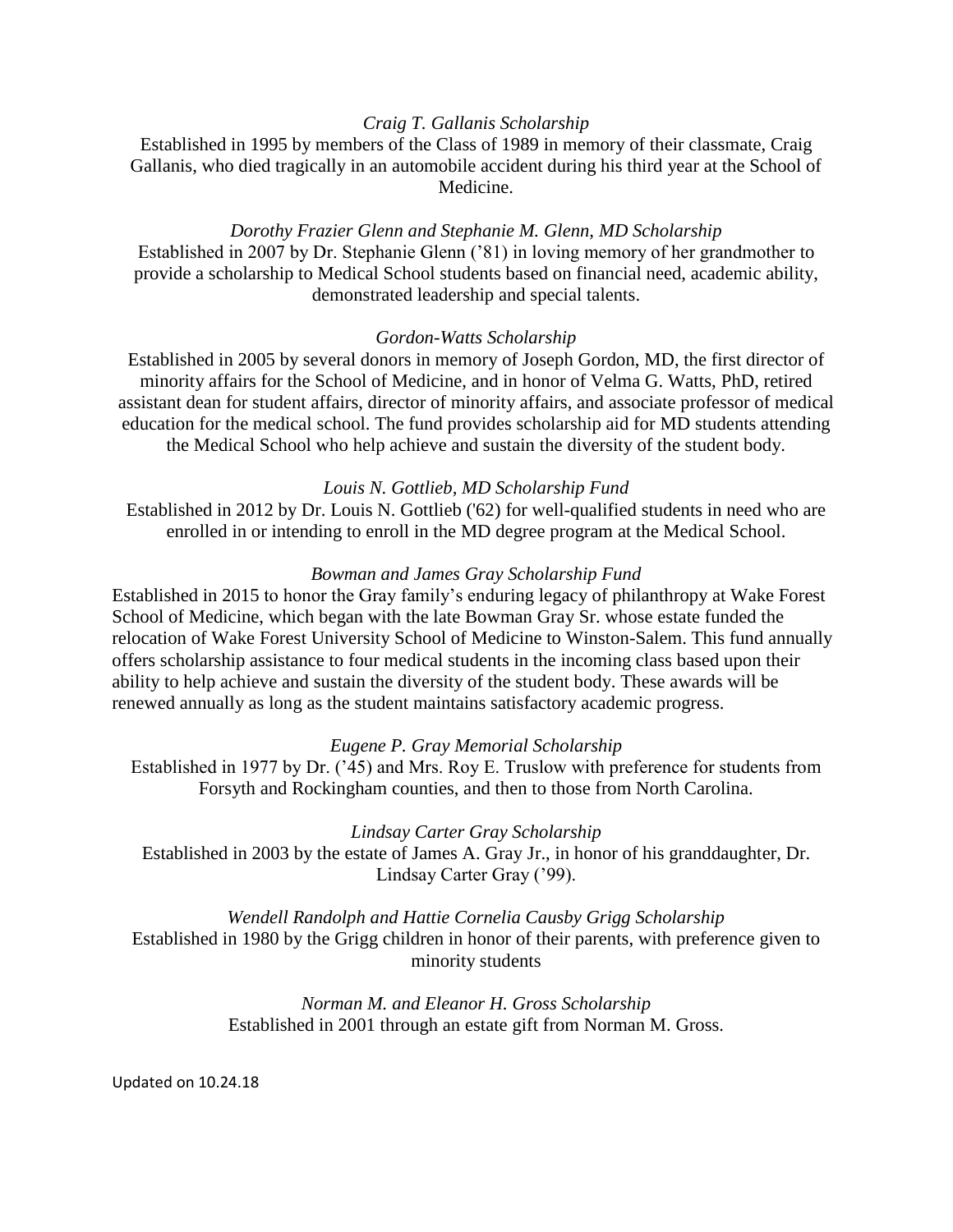## *Craig T. Gallanis Scholarship*

Established in 1995 by members of the Class of 1989 in memory of their classmate, Craig Gallanis, who died tragically in an automobile accident during his third year at the School of Medicine.

## *Dorothy Frazier Glenn and Stephanie M. Glenn, MD Scholarship*

Established in 2007 by Dr. Stephanie Glenn ('81) in loving memory of her grandmother to provide a scholarship to Medical School students based on financial need, academic ability, demonstrated leadership and special talents.

## *Gordon-Watts Scholarship*

Established in 2005 by several donors in memory of Joseph Gordon, MD, the first director of minority affairs for the School of Medicine, and in honor of Velma G. Watts, PhD, retired assistant dean for student affairs, director of minority affairs, and associate professor of medical education for the medical school. The fund provides scholarship aid for MD students attending the Medical School who help achieve and sustain the diversity of the student body.

### *Louis N. Gottlieb, MD Scholarship Fund*

Established in 2012 by Dr. Louis N. Gottlieb ('62) for well-qualified students in need who are enrolled in or intending to enroll in the MD degree program at the Medical School.

### *Bowman and James Gray Scholarship Fund*

Established in 2015 to honor the Gray family's enduring legacy of philanthropy at Wake Forest School of Medicine, which began with the late Bowman Gray Sr. whose estate funded the relocation of Wake Forest University School of Medicine to Winston-Salem. This fund annually offers scholarship assistance to four medical students in the incoming class based upon their ability to help achieve and sustain the diversity of the student body. These awards will be renewed annually as long as the student maintains satisfactory academic progress.

### *Eugene P. Gray Memorial Scholarship*

Established in 1977 by Dr. ('45) and Mrs. Roy E. Truslow with preference for students from Forsyth and Rockingham counties, and then to those from North Carolina.

### *Lindsay Carter Gray Scholarship*

Established in 2003 by the estate of James A. Gray Jr., in honor of his granddaughter, Dr. Lindsay Carter Gray ('99).

*Wendell Randolph and Hattie Cornelia Causby Grigg Scholarship* Established in 1980 by the Grigg children in honor of their parents, with preference given to minority students

# *Norman M. and Eleanor H. Gross Scholarship* Established in 2001 through an estate gift from Norman M. Gross.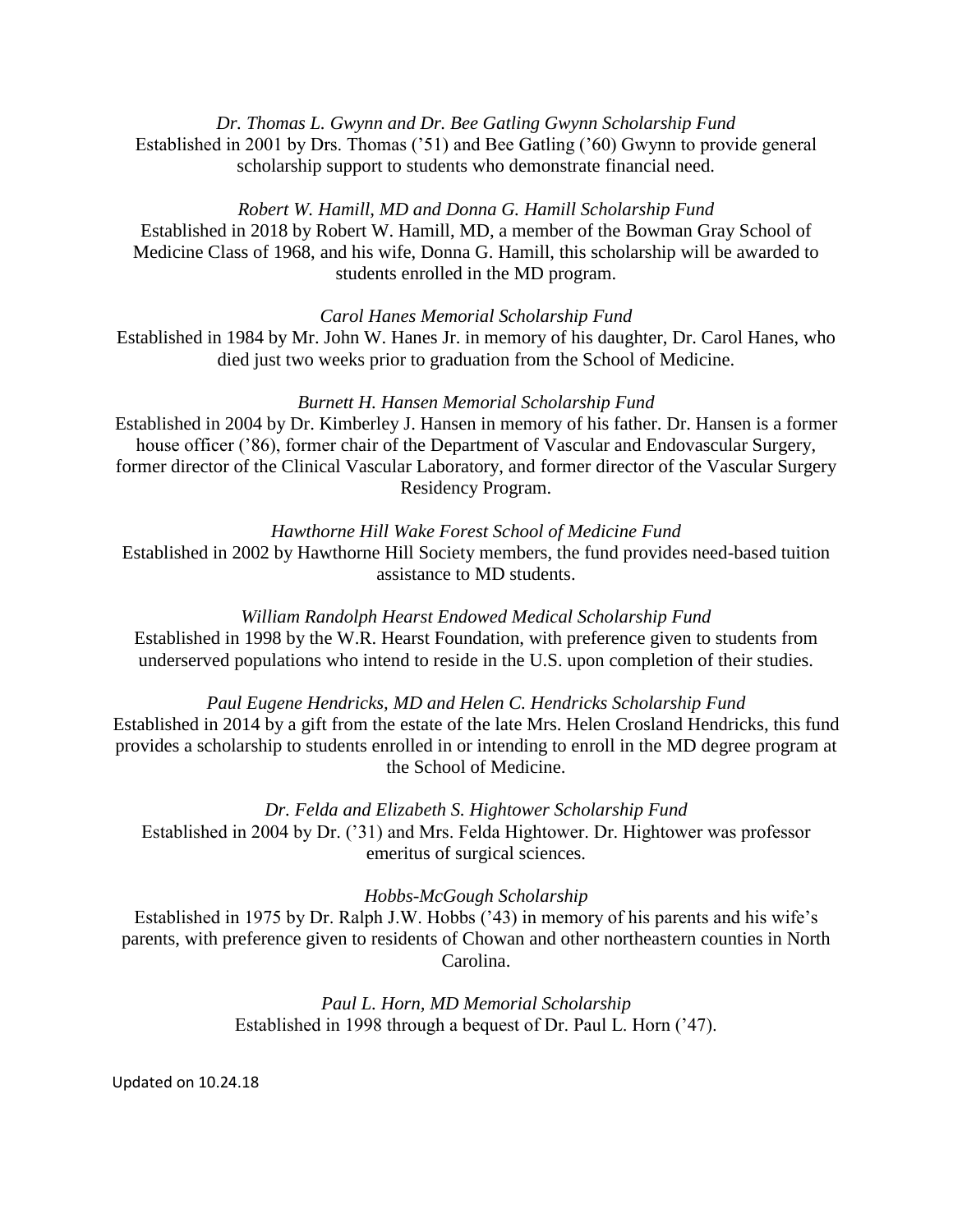*Dr. Thomas L. Gwynn and Dr. Bee Gatling Gwynn Scholarship Fund* Established in 2001 by Drs. Thomas ('51) and Bee Gatling ('60) Gwynn to provide general scholarship support to students who demonstrate financial need.

## *Robert W. Hamill, MD and Donna G. Hamill Scholarship Fund*

Established in 2018 by Robert W. Hamill, MD, a member of the Bowman Gray School of Medicine Class of 1968, and his wife, Donna G. Hamill, this scholarship will be awarded to students enrolled in the MD program.

*Carol Hanes Memorial Scholarship Fund*

Established in 1984 by Mr. John W. Hanes Jr. in memory of his daughter, Dr. Carol Hanes, who died just two weeks prior to graduation from the School of Medicine.

## *Burnett H. Hansen Memorial Scholarship Fund*

Established in 2004 by Dr. Kimberley J. Hansen in memory of his father. Dr. Hansen is a former house officer ('86), former chair of the Department of Vascular and Endovascular Surgery, former director of the Clinical Vascular Laboratory, and former director of the Vascular Surgery Residency Program.

*Hawthorne Hill Wake Forest School of Medicine Fund* Established in 2002 by Hawthorne Hill Society members, the fund provides need-based tuition assistance to MD students.

# *William Randolph Hearst Endowed Medical Scholarship Fund*

Established in 1998 by the W.R. Hearst Foundation, with preference given to students from underserved populations who intend to reside in the U.S. upon completion of their studies.

### *Paul Eugene Hendricks, MD and Helen C. Hendricks Scholarship Fund*

Established in 2014 by a gift from the estate of the late Mrs. Helen Crosland Hendricks, this fund provides a scholarship to students enrolled in or intending to enroll in the MD degree program at the School of Medicine.

*Dr. Felda and Elizabeth S. Hightower Scholarship Fund* Established in 2004 by Dr. ('31) and Mrs. Felda Hightower. Dr. Hightower was professor emeritus of surgical sciences.

### *Hobbs-McGough Scholarship*

Established in 1975 by Dr. Ralph J.W. Hobbs ('43) in memory of his parents and his wife's parents, with preference given to residents of Chowan and other northeastern counties in North Carolina.

> *Paul L. Horn, MD Memorial Scholarship* Established in 1998 through a bequest of Dr. Paul L. Horn ('47).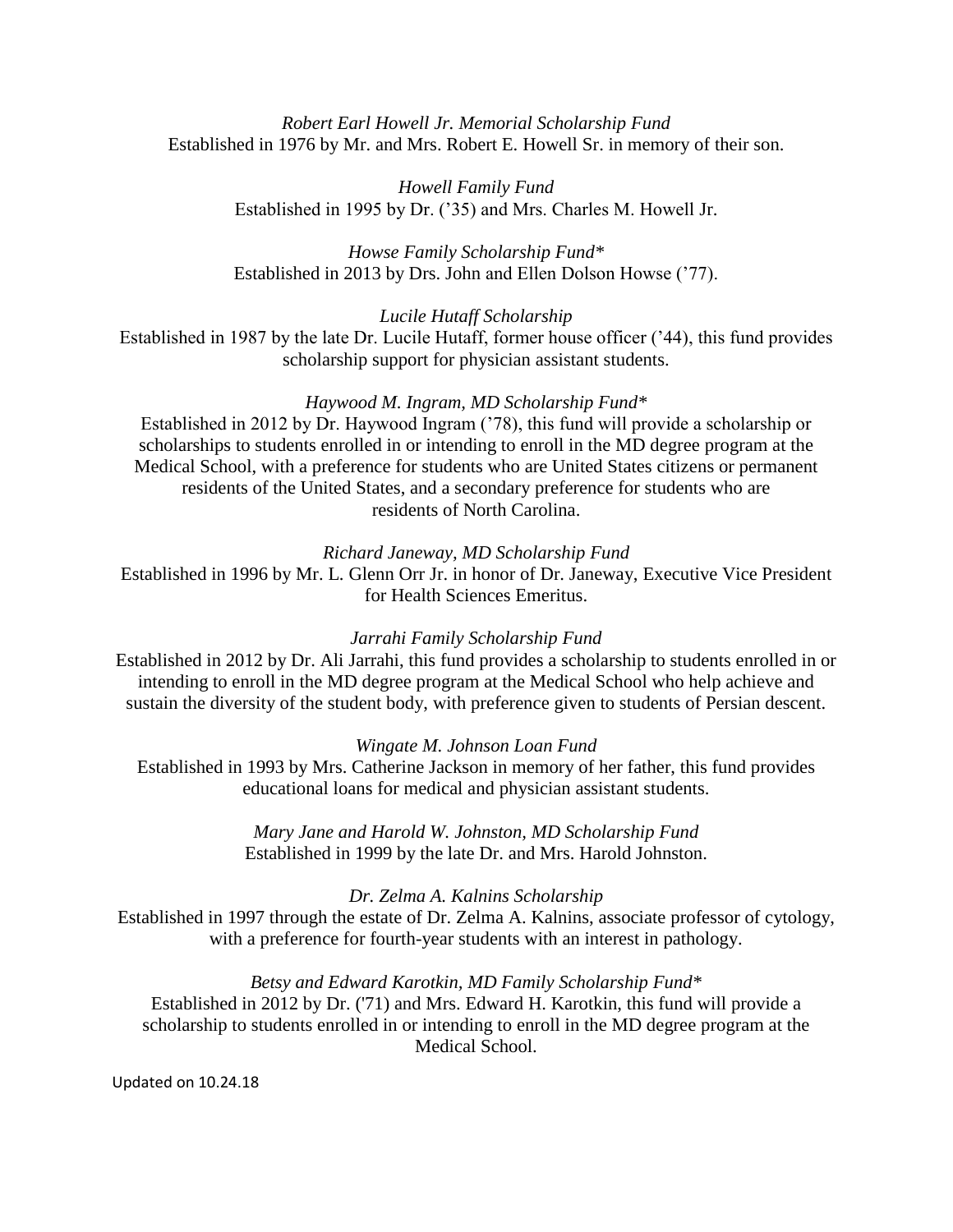# *Robert Earl Howell Jr. Memorial Scholarship Fund* Established in 1976 by Mr. and Mrs. Robert E. Howell Sr. in memory of their son.

*Howell Family Fund* Established in 1995 by Dr. ('35) and Mrs. Charles M. Howell Jr.

*Howse Family Scholarship Fund\** Established in 2013 by Drs. John and Ellen Dolson Howse ('77).

*Lucile Hutaff Scholarship*

Established in 1987 by the late Dr. Lucile Hutaff, former house officer ('44), this fund provides scholarship support for physician assistant students.

# *Haywood M. Ingram, MD Scholarship Fund\**

Established in 2012 by Dr. Haywood Ingram ('78), this fund will provide a scholarship or scholarships to students enrolled in or intending to enroll in the MD degree program at the Medical School, with a preference for students who are United States citizens or permanent residents of the United States, and a secondary preference for students who are residents of North Carolina.

*Richard Janeway, MD Scholarship Fund*

Established in 1996 by Mr. L. Glenn Orr Jr. in honor of Dr. Janeway, Executive Vice President for Health Sciences Emeritus.

# *Jarrahi Family Scholarship Fund*

Established in 2012 by Dr. Ali Jarrahi, this fund provides a scholarship to students enrolled in or intending to enroll in the MD degree program at the Medical School who help achieve and sustain the diversity of the student body, with preference given to students of Persian descent.

# *Wingate M. Johnson Loan Fund*

Established in 1993 by Mrs. Catherine Jackson in memory of her father, this fund provides educational loans for medical and physician assistant students.

> *Mary Jane and Harold W. Johnston, MD Scholarship Fund* Established in 1999 by the late Dr. and Mrs. Harold Johnston.

# *Dr. Zelma A. Kalnins Scholarship*

Established in 1997 through the estate of Dr. Zelma A. Kalnins, associate professor of cytology, with a preference for fourth-year students with an interest in pathology.

# *Betsy and Edward Karotkin, MD Family Scholarship Fund\**

Established in 2012 by Dr. ('71) and Mrs. Edward H. Karotkin, this fund will provide a scholarship to students enrolled in or intending to enroll in the MD degree program at the Medical School.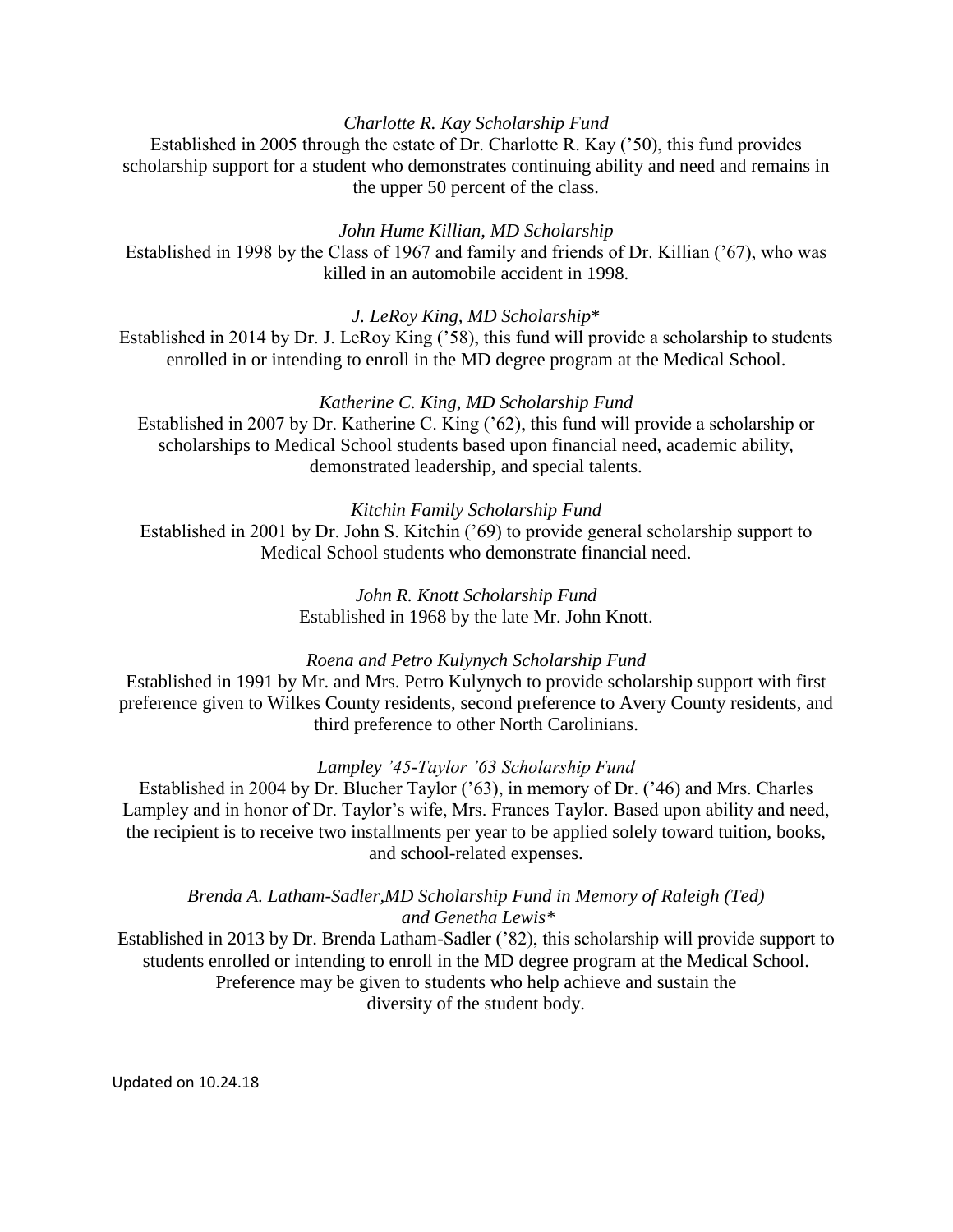# *Charlotte R. Kay Scholarship Fund*

Established in 2005 through the estate of Dr. Charlotte R. Kay ('50), this fund provides scholarship support for a student who demonstrates continuing ability and need and remains in the upper 50 percent of the class.

## *John Hume Killian, MD Scholarship*

Established in 1998 by the Class of 1967 and family and friends of Dr. Killian ('67), who was killed in an automobile accident in 1998.

*J. LeRoy King, MD Scholarship*\*

Established in 2014 by Dr. J. LeRoy King ('58), this fund will provide a scholarship to students enrolled in or intending to enroll in the MD degree program at the Medical School.

## *Katherine C. King, MD Scholarship Fund*

Established in 2007 by Dr. Katherine C. King ('62), this fund will provide a scholarship or scholarships to Medical School students based upon financial need, academic ability, demonstrated leadership, and special talents.

## *Kitchin Family Scholarship Fund*

Established in 2001 by Dr. John S. Kitchin ('69) to provide general scholarship support to Medical School students who demonstrate financial need.

> *John R. Knott Scholarship Fund* Established in 1968 by the late Mr. John Knott.

# *Roena and Petro Kulynych Scholarship Fund*

Established in 1991 by Mr. and Mrs. Petro Kulynych to provide scholarship support with first preference given to Wilkes County residents, second preference to Avery County residents, and third preference to other North Carolinians.

### *Lampley '45-Taylor '63 Scholarship Fund*

Established in 2004 by Dr. Blucher Taylor ('63), in memory of Dr. ('46) and Mrs. Charles Lampley and in honor of Dr. Taylor's wife, Mrs. Frances Taylor. Based upon ability and need, the recipient is to receive two installments per year to be applied solely toward tuition, books, and school-related expenses.

*Brenda A. Latham-Sadler,MD Scholarship Fund in Memory of Raleigh (Ted) and Genetha Lewis\**

Established in 2013 by Dr. Brenda Latham-Sadler ('82), this scholarship will provide support to students enrolled or intending to enroll in the MD degree program at the Medical School. Preference may be given to students who help achieve and sustain the diversity of the student body.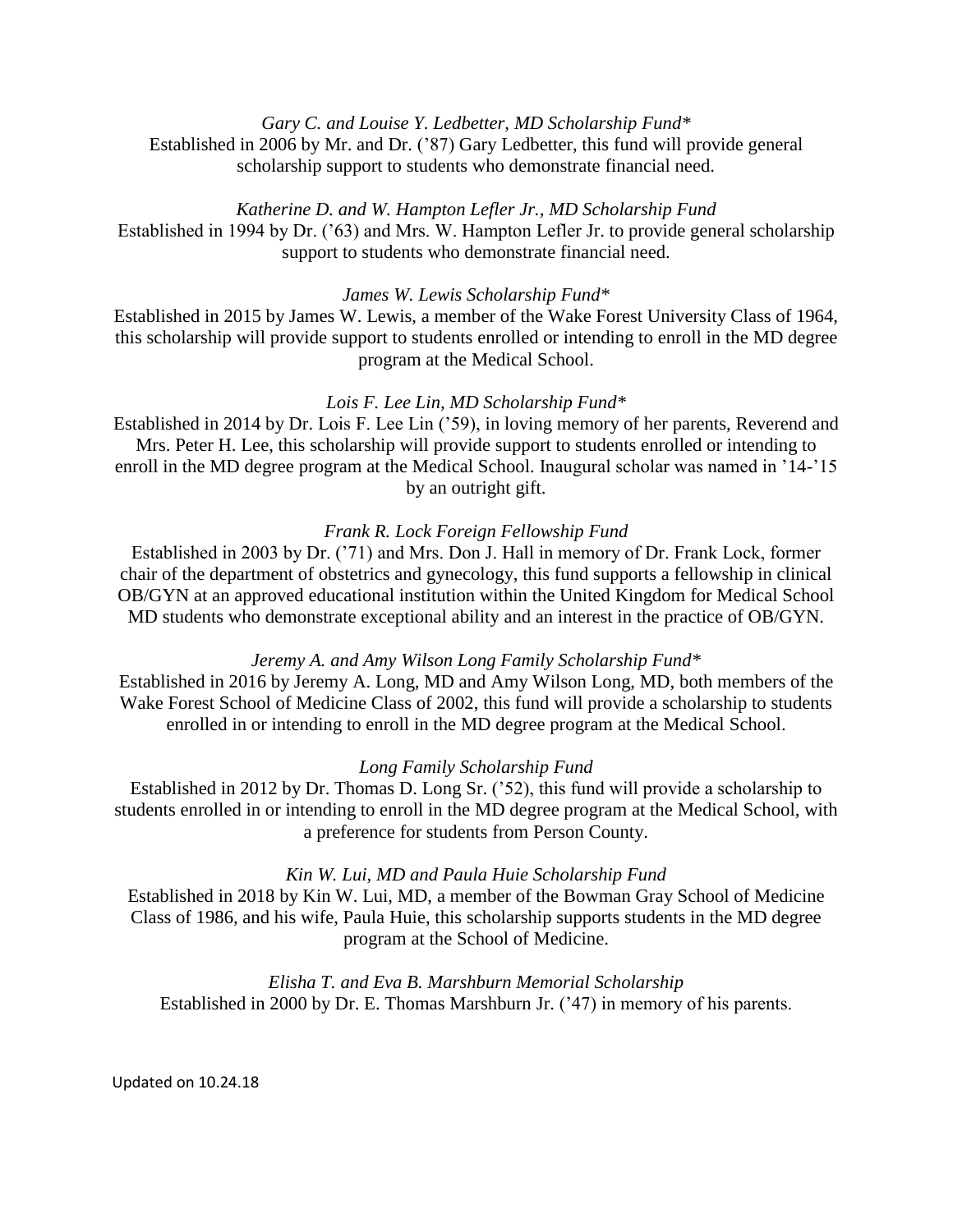*Gary C. and Louise Y. Ledbetter, MD Scholarship Fund\** Established in 2006 by Mr. and Dr. ('87) Gary Ledbetter, this fund will provide general scholarship support to students who demonstrate financial need.

*Katherine D. and W. Hampton Lefler Jr., MD Scholarship Fund* Established in 1994 by Dr. ('63) and Mrs. W. Hampton Lefler Jr. to provide general scholarship support to students who demonstrate financial need.

*James W. Lewis Scholarship Fund\**

Established in 2015 by James W. Lewis, a member of the Wake Forest University Class of 1964, this scholarship will provide support to students enrolled or intending to enroll in the MD degree program at the Medical School.

# *Lois F. Lee Lin, MD Scholarship Fund\**

Established in 2014 by Dr. Lois F. Lee Lin ('59), in loving memory of her parents, Reverend and Mrs. Peter H. Lee, this scholarship will provide support to students enrolled or intending to enroll in the MD degree program at the Medical School. Inaugural scholar was named in '14-'15 by an outright gift.

# *Frank R. Lock Foreign Fellowship Fund*

Established in 2003 by Dr. ('71) and Mrs. Don J. Hall in memory of Dr. Frank Lock, former chair of the department of obstetrics and gynecology, this fund supports a fellowship in clinical OB/GYN at an approved educational institution within the United Kingdom for Medical School MD students who demonstrate exceptional ability and an interest in the practice of OB/GYN.

# *Jeremy A. and Amy Wilson Long Family Scholarship Fund\**

Established in 2016 by Jeremy A. Long, MD and Amy Wilson Long, MD, both members of the Wake Forest School of Medicine Class of 2002, this fund will provide a scholarship to students enrolled in or intending to enroll in the MD degree program at the Medical School.

# *Long Family Scholarship Fund*

Established in 2012 by Dr. Thomas D. Long Sr. ('52), this fund will provide a scholarship to students enrolled in or intending to enroll in the MD degree program at the Medical School, with a preference for students from Person County.

# *Kin W. Lui, MD and Paula Huie Scholarship Fund*

Established in 2018 by Kin W. Lui, MD, a member of the Bowman Gray School of Medicine Class of 1986, and his wife, Paula Huie, this scholarship supports students in the MD degree program at the School of Medicine.

*Elisha T. and Eva B. Marshburn Memorial Scholarship* Established in 2000 by Dr. E. Thomas Marshburn Jr. ('47) in memory of his parents.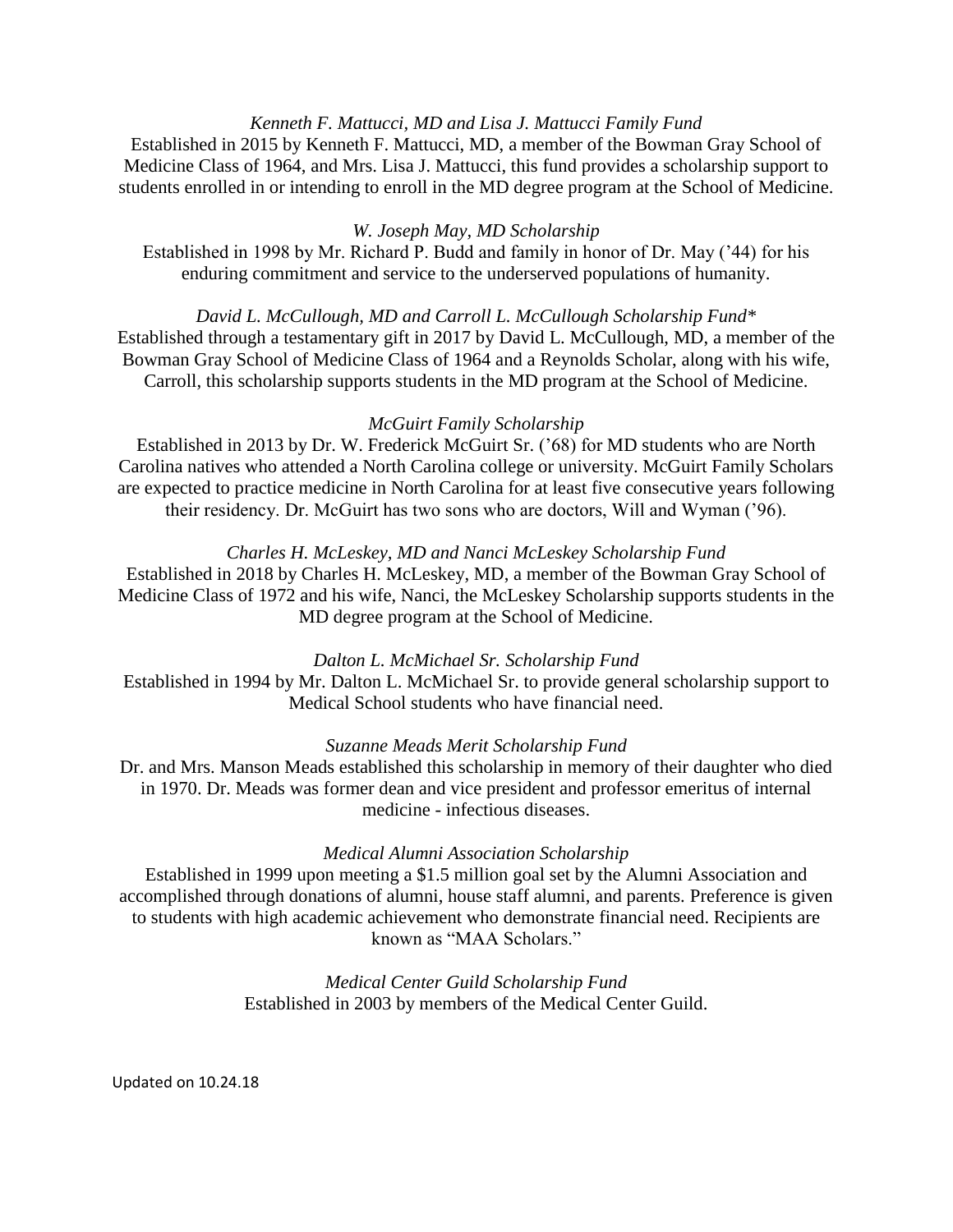# *Kenneth F. Mattucci, MD and Lisa J. Mattucci Family Fund*

Established in 2015 by Kenneth F. Mattucci, MD, a member of the Bowman Gray School of Medicine Class of 1964, and Mrs. Lisa J. Mattucci, this fund provides a scholarship support to students enrolled in or intending to enroll in the MD degree program at the School of Medicine.

# *W. Joseph May, MD Scholarship*

Established in 1998 by Mr. Richard P. Budd and family in honor of Dr. May ('44) for his enduring commitment and service to the underserved populations of humanity.

*David L. McCullough, MD and Carroll L. McCullough Scholarship Fund\** Established through a testamentary gift in 2017 by David L. McCullough, MD, a member of the Bowman Gray School of Medicine Class of 1964 and a Reynolds Scholar, along with his wife, Carroll, this scholarship supports students in the MD program at the School of Medicine.

## *McGuirt Family Scholarship*

Established in 2013 by Dr. W. Frederick McGuirt Sr. ('68) for MD students who are North Carolina natives who attended a North Carolina college or university. McGuirt Family Scholars are expected to practice medicine in North Carolina for at least five consecutive years following their residency. Dr. McGuirt has two sons who are doctors, Will and Wyman ('96).

## *Charles H. McLeskey, MD and Nanci McLeskey Scholarship Fund*

Established in 2018 by Charles H. McLeskey, MD, a member of the Bowman Gray School of Medicine Class of 1972 and his wife, Nanci, the McLeskey Scholarship supports students in the MD degree program at the School of Medicine.

### *Dalton L. McMichael Sr. Scholarship Fund*

Established in 1994 by Mr. Dalton L. McMichael Sr. to provide general scholarship support to Medical School students who have financial need.

### *Suzanne Meads Merit Scholarship Fund*

Dr. and Mrs. Manson Meads established this scholarship in memory of their daughter who died in 1970. Dr. Meads was former dean and vice president and professor emeritus of internal medicine - infectious diseases.

### *Medical Alumni Association Scholarship*

Established in 1999 upon meeting a \$1.5 million goal set by the Alumni Association and accomplished through donations of alumni, house staff alumni, and parents. Preference is given to students with high academic achievement who demonstrate financial need. Recipients are known as "MAA Scholars."

> *Medical Center Guild Scholarship Fund* Established in 2003 by members of the Medical Center Guild.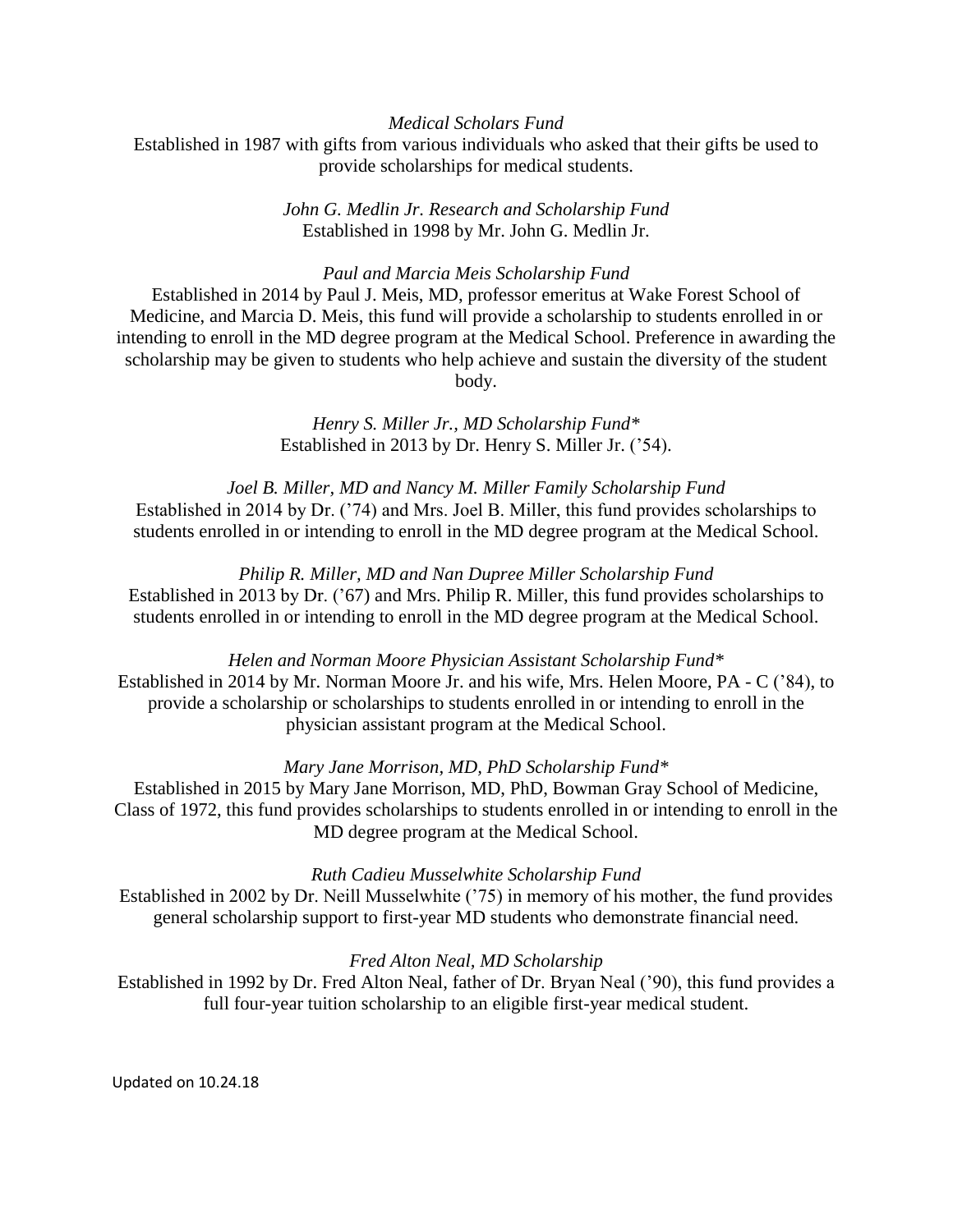## *Medical Scholars Fund*

Established in 1987 with gifts from various individuals who asked that their gifts be used to provide scholarships for medical students.

> *John G. Medlin Jr. Research and Scholarship Fund* Established in 1998 by Mr. John G. Medlin Jr.

### *Paul and Marcia Meis Scholarship Fund*

Established in 2014 by Paul J. Meis, MD, professor emeritus at Wake Forest School of Medicine, and Marcia D. Meis, this fund will provide a scholarship to students enrolled in or intending to enroll in the MD degree program at the Medical School. Preference in awarding the scholarship may be given to students who help achieve and sustain the diversity of the student body.

> *Henry S. Miller Jr., MD Scholarship Fund\** Established in 2013 by Dr. Henry S. Miller Jr. ('54).

*Joel B. Miller, MD and Nancy M. Miller Family Scholarship Fund* Established in 2014 by Dr. ('74) and Mrs. Joel B. Miller, this fund provides scholarships to students enrolled in or intending to enroll in the MD degree program at the Medical School.

*Philip R. Miller, MD and Nan Dupree Miller Scholarship Fund* Established in 2013 by Dr. ('67) and Mrs. Philip R. Miller, this fund provides scholarships to students enrolled in or intending to enroll in the MD degree program at the Medical School.

*Helen and Norman Moore Physician Assistant Scholarship Fund\** Established in 2014 by Mr. Norman Moore Jr. and his wife, Mrs. Helen Moore, PA - C ('84), to provide a scholarship or scholarships to students enrolled in or intending to enroll in the physician assistant program at the Medical School.

### *Mary Jane Morrison, MD, PhD Scholarship Fund\**

Established in 2015 by Mary Jane Morrison, MD, PhD, Bowman Gray School of Medicine, Class of 1972, this fund provides scholarships to students enrolled in or intending to enroll in the MD degree program at the Medical School.

### *Ruth Cadieu Musselwhite Scholarship Fund*

Established in 2002 by Dr. Neill Musselwhite ('75) in memory of his mother, the fund provides general scholarship support to first-year MD students who demonstrate financial need.

### *Fred Alton Neal, MD Scholarship*

Established in 1992 by Dr. Fred Alton Neal, father of Dr. Bryan Neal ('90), this fund provides a full four-year tuition scholarship to an eligible first-year medical student.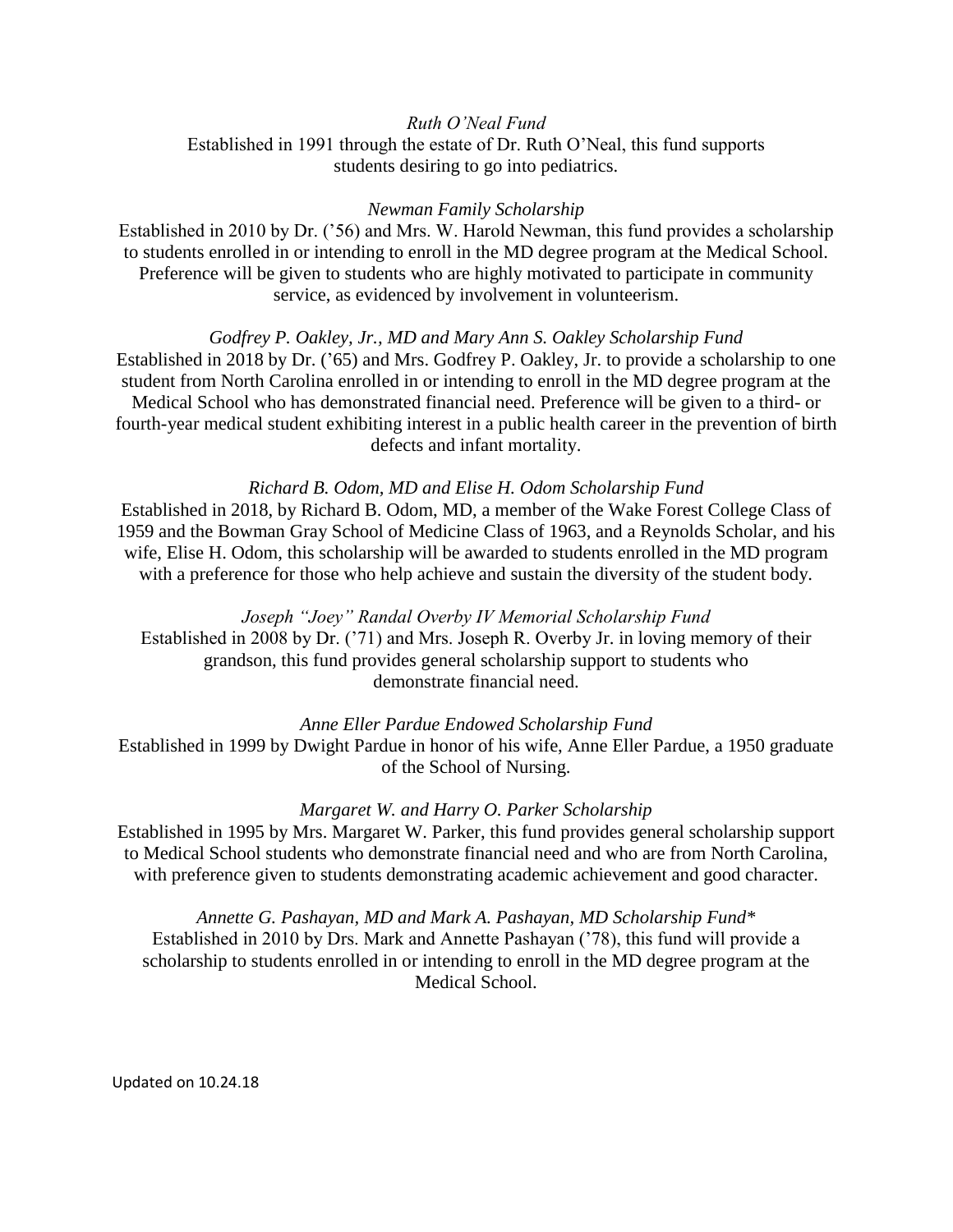## *Ruth O'Neal Fund*

Established in 1991 through the estate of Dr. Ruth O'Neal, this fund supports students desiring to go into pediatrics.

### *Newman Family Scholarship*

Established in 2010 by Dr. ('56) and Mrs. W. Harold Newman, this fund provides a scholarship to students enrolled in or intending to enroll in the MD degree program at the Medical School. Preference will be given to students who are highly motivated to participate in community service, as evidenced by involvement in volunteerism.

## *Godfrey P. Oakley, Jr., MD and Mary Ann S. Oakley Scholarship Fund*

Established in 2018 by Dr. ('65) and Mrs. Godfrey P. Oakley, Jr. to provide a scholarship to one student from North Carolina enrolled in or intending to enroll in the MD degree program at the Medical School who has demonstrated financial need. Preference will be given to a third- or fourth-year medical student exhibiting interest in a public health career in the prevention of birth defects and infant mortality.

## *Richard B. Odom, MD and Elise H. Odom Scholarship Fund*

Established in 2018, by Richard B. Odom, MD, a member of the Wake Forest College Class of 1959 and the Bowman Gray School of Medicine Class of 1963, and a Reynolds Scholar, and his wife, Elise H. Odom, this scholarship will be awarded to students enrolled in the MD program with a preference for those who help achieve and sustain the diversity of the student body.

## *Joseph "Joey" Randal Overby IV Memorial Scholarship Fund*

Established in 2008 by Dr. ('71) and Mrs. Joseph R. Overby Jr. in loving memory of their grandson, this fund provides general scholarship support to students who demonstrate financial need.

### *Anne Eller Pardue Endowed Scholarship Fund*

Established in 1999 by Dwight Pardue in honor of his wife, Anne Eller Pardue, a 1950 graduate of the School of Nursing.

### *Margaret W. and Harry O. Parker Scholarship*

Established in 1995 by Mrs. Margaret W. Parker, this fund provides general scholarship support to Medical School students who demonstrate financial need and who are from North Carolina, with preference given to students demonstrating academic achievement and good character.

*Annette G. Pashayan, MD and Mark A. Pashayan, MD Scholarship Fund\** Established in 2010 by Drs. Mark and Annette Pashayan ('78), this fund will provide a scholarship to students enrolled in or intending to enroll in the MD degree program at the Medical School.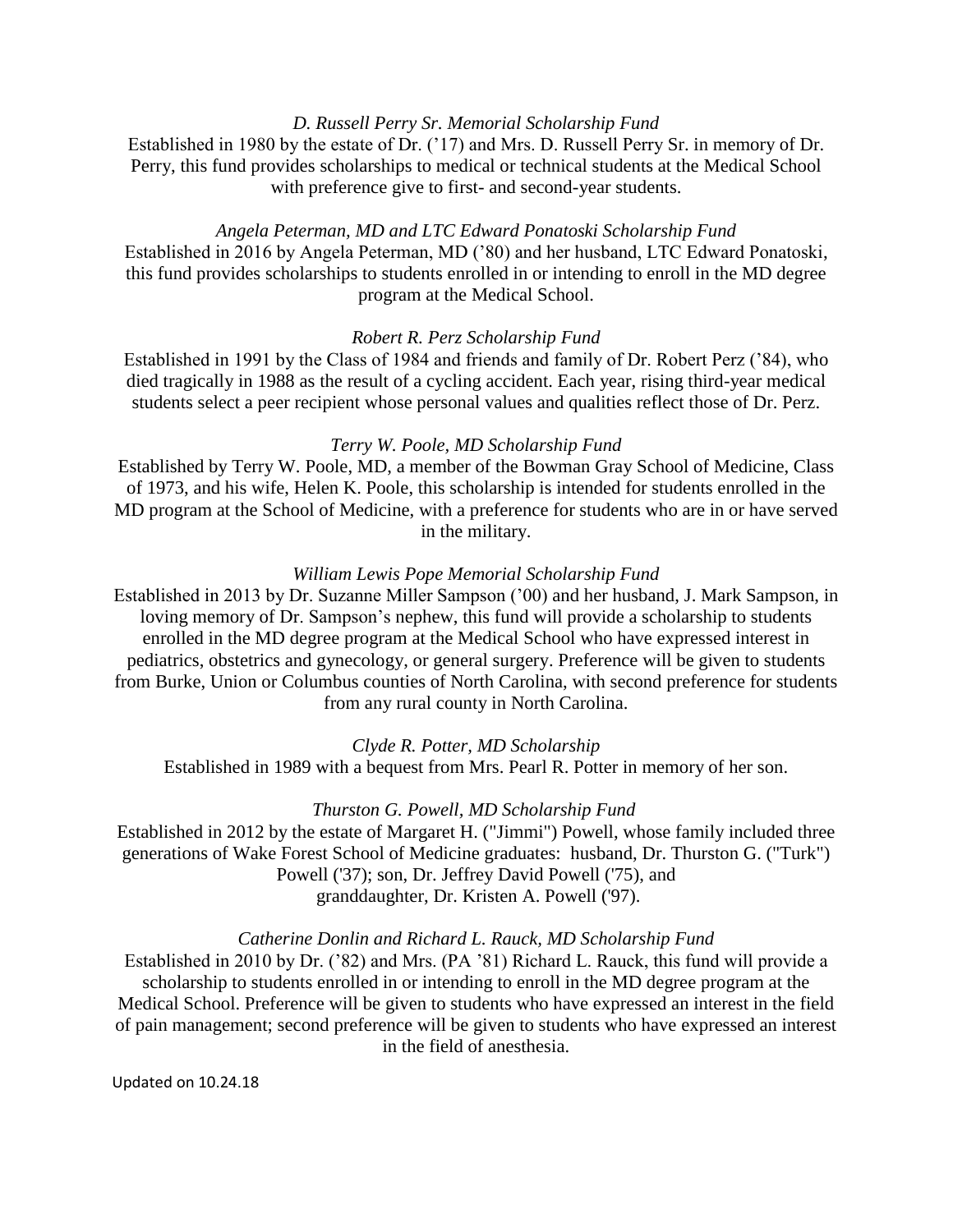## *D. Russell Perry Sr. Memorial Scholarship Fund*

Established in 1980 by the estate of Dr. ('17) and Mrs. D. Russell Perry Sr. in memory of Dr. Perry, this fund provides scholarships to medical or technical students at the Medical School with preference give to first- and second-year students.

## *Angela Peterman, MD and LTC Edward Ponatoski Scholarship Fund*

Established in 2016 by Angela Peterman, MD ('80) and her husband, LTC Edward Ponatoski, this fund provides scholarships to students enrolled in or intending to enroll in the MD degree program at the Medical School.

## *Robert R. Perz Scholarship Fund*

Established in 1991 by the Class of 1984 and friends and family of Dr. Robert Perz ('84), who died tragically in 1988 as the result of a cycling accident. Each year, rising third-year medical students select a peer recipient whose personal values and qualities reflect those of Dr. Perz.

### *Terry W. Poole, MD Scholarship Fund*

Established by Terry W. Poole, MD, a member of the Bowman Gray School of Medicine, Class of 1973, and his wife, Helen K. Poole, this scholarship is intended for students enrolled in the MD program at the School of Medicine, with a preference for students who are in or have served in the military.

### *William Lewis Pope Memorial Scholarship Fund*

Established in 2013 by Dr. Suzanne Miller Sampson ('00) and her husband, J. Mark Sampson, in loving memory of Dr. Sampson's nephew, this fund will provide a scholarship to students enrolled in the MD degree program at the Medical School who have expressed interest in pediatrics, obstetrics and gynecology, or general surgery. Preference will be given to students from Burke, Union or Columbus counties of North Carolina, with second preference for students from any rural county in North Carolina.

#### *Clyde R. Potter, MD Scholarship*

Established in 1989 with a bequest from Mrs. Pearl R. Potter in memory of her son.

### *Thurston G. Powell, MD Scholarship Fund*

Established in 2012 by the estate of Margaret H. ("Jimmi") Powell, whose family included three generations of Wake Forest School of Medicine graduates: husband, Dr. Thurston G. ("Turk") Powell ('37); son, Dr. Jeffrey David Powell ('75), and granddaughter, Dr. Kristen A. Powell ('97).

#### *Catherine Donlin and Richard L. Rauck, MD Scholarship Fund*

Established in 2010 by Dr. ('82) and Mrs. (PA '81) Richard L. Rauck, this fund will provide a scholarship to students enrolled in or intending to enroll in the MD degree program at the Medical School. Preference will be given to students who have expressed an interest in the field of pain management; second preference will be given to students who have expressed an interest in the field of anesthesia.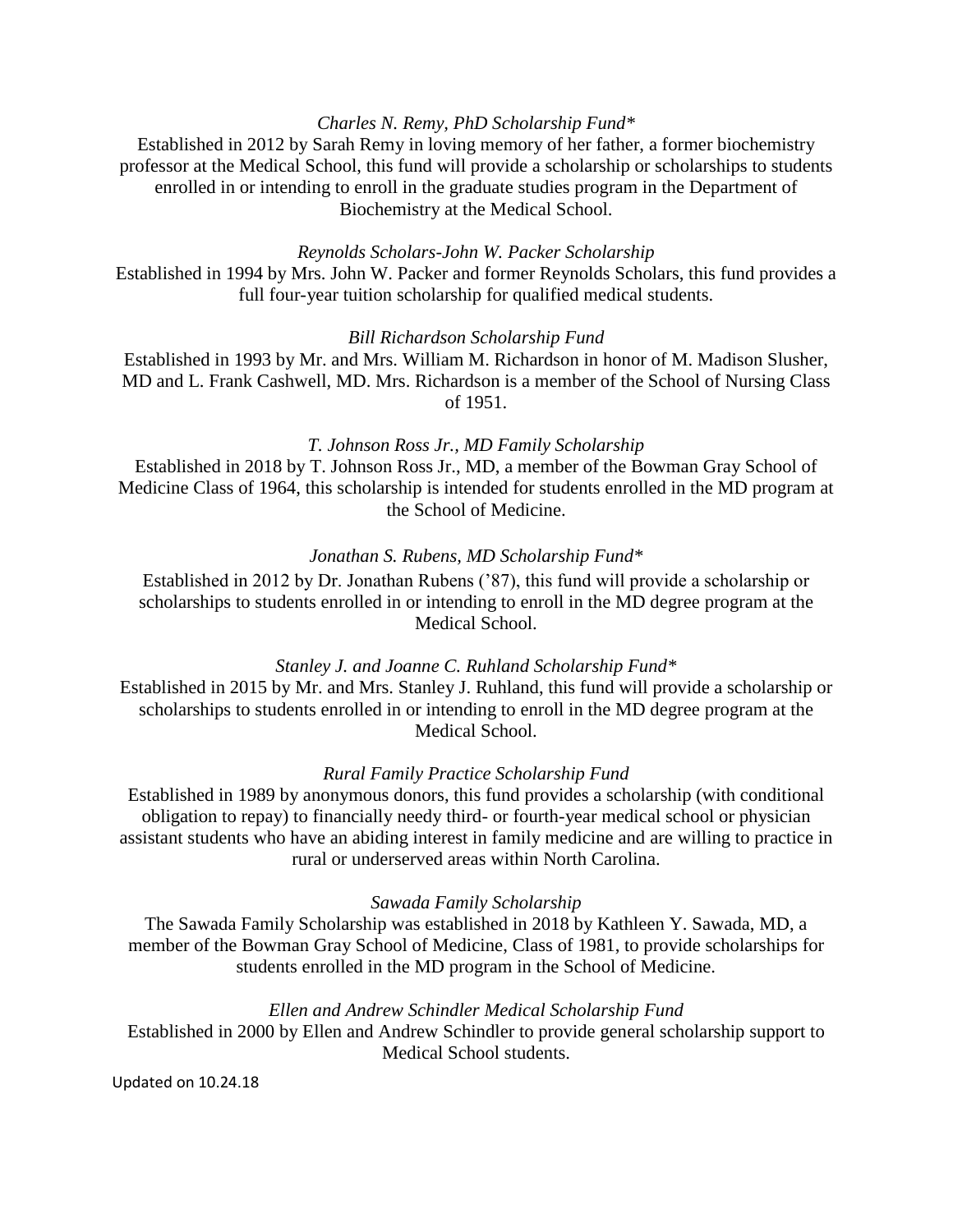## *Charles N. Remy, PhD Scholarship Fund\**

Established in 2012 by Sarah Remy in loving memory of her father, a former biochemistry professor at the Medical School, this fund will provide a scholarship or scholarships to students enrolled in or intending to enroll in the graduate studies program in the Department of Biochemistry at the Medical School.

## *Reynolds Scholars-John W. Packer Scholarship*

Established in 1994 by Mrs. John W. Packer and former Reynolds Scholars, this fund provides a full four-year tuition scholarship for qualified medical students.

## *Bill Richardson Scholarship Fund*

Established in 1993 by Mr. and Mrs. William M. Richardson in honor of M. Madison Slusher, MD and L. Frank Cashwell, MD. Mrs. Richardson is a member of the School of Nursing Class of 1951.

### *T. Johnson Ross Jr., MD Family Scholarship*

Established in 2018 by T. Johnson Ross Jr., MD, a member of the Bowman Gray School of Medicine Class of 1964, this scholarship is intended for students enrolled in the MD program at the School of Medicine.

# *Jonathan S. Rubens, MD Scholarship Fund\**

Established in 2012 by Dr. Jonathan Rubens ('87), this fund will provide a scholarship or scholarships to students enrolled in or intending to enroll in the MD degree program at the Medical School.

### *Stanley J. and Joanne C. Ruhland Scholarship Fund\**

Established in 2015 by Mr. and Mrs. Stanley J. Ruhland, this fund will provide a scholarship or scholarships to students enrolled in or intending to enroll in the MD degree program at the Medical School.

## *Rural Family Practice Scholarship Fund*

Established in 1989 by anonymous donors, this fund provides a scholarship (with conditional obligation to repay) to financially needy third- or fourth-year medical school or physician assistant students who have an abiding interest in family medicine and are willing to practice in rural or underserved areas within North Carolina.

### *Sawada Family Scholarship*

The Sawada Family Scholarship was established in 2018 by Kathleen Y. Sawada, MD, a member of the Bowman Gray School of Medicine, Class of 1981, to provide scholarships for students enrolled in the MD program in the School of Medicine.

## *Ellen and Andrew Schindler Medical Scholarship Fund*

Established in 2000 by Ellen and Andrew Schindler to provide general scholarship support to Medical School students.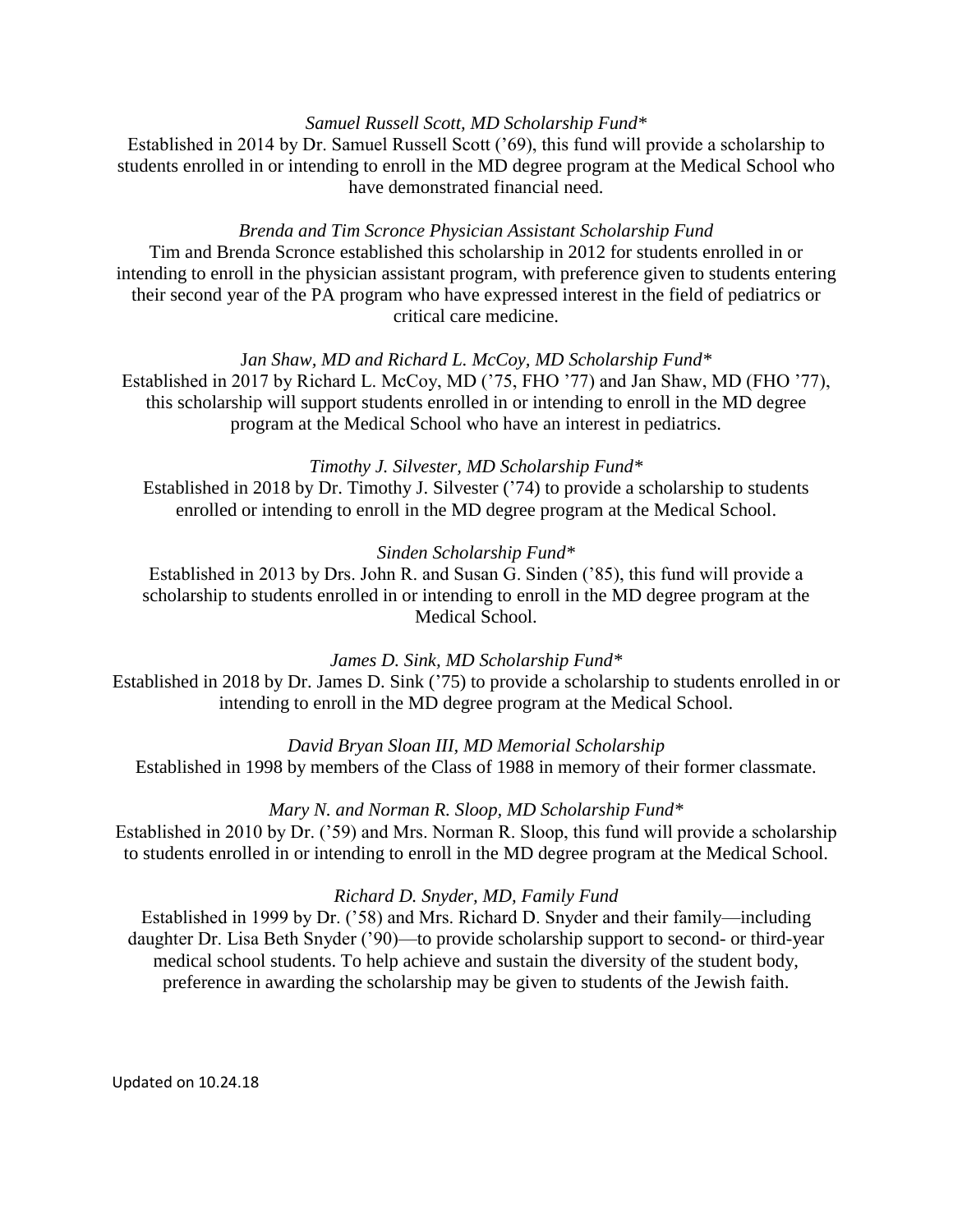# *Samuel Russell Scott, MD Scholarship Fund\**

Established in 2014 by Dr. Samuel Russell Scott ('69), this fund will provide a scholarship to students enrolled in or intending to enroll in the MD degree program at the Medical School who have demonstrated financial need.

# *Brenda and Tim Scronce Physician Assistant Scholarship Fund*

Tim and Brenda Scronce established this scholarship in 2012 for students enrolled in or intending to enroll in the physician assistant program, with preference given to students entering their second year of the PA program who have expressed interest in the field of pediatrics or critical care medicine.

# J*an Shaw, MD and Richard L. McCoy, MD Scholarship Fund\**

Established in 2017 by Richard L. McCoy, MD ('75, FHO '77) and Jan Shaw, MD (FHO '77), this scholarship will support students enrolled in or intending to enroll in the MD degree program at the Medical School who have an interest in pediatrics.

## *Timothy J. Silvester, MD Scholarship Fund\**

Established in 2018 by Dr. Timothy J. Silvester ('74) to provide a scholarship to students enrolled or intending to enroll in the MD degree program at the Medical School.

## *Sinden Scholarship Fund\**

Established in 2013 by Drs. John R. and Susan G. Sinden ('85), this fund will provide a scholarship to students enrolled in or intending to enroll in the MD degree program at the Medical School.

*James D. Sink, MD Scholarship Fund\** Established in 2018 by Dr. James D. Sink ('75) to provide a scholarship to students enrolled in or intending to enroll in the MD degree program at the Medical School.

*David Bryan Sloan III, MD Memorial Scholarship* Established in 1998 by members of the Class of 1988 in memory of their former classmate.

*Mary N. and Norman R. Sloop, MD Scholarship Fund\**

Established in 2010 by Dr. ('59) and Mrs. Norman R. Sloop, this fund will provide a scholarship to students enrolled in or intending to enroll in the MD degree program at the Medical School.

# *Richard D. Snyder, MD, Family Fund*

Established in 1999 by Dr. ('58) and Mrs. Richard D. Snyder and their family—including daughter Dr. Lisa Beth Snyder ('90)—to provide scholarship support to second- or third-year medical school students. To help achieve and sustain the diversity of the student body, preference in awarding the scholarship may be given to students of the Jewish faith.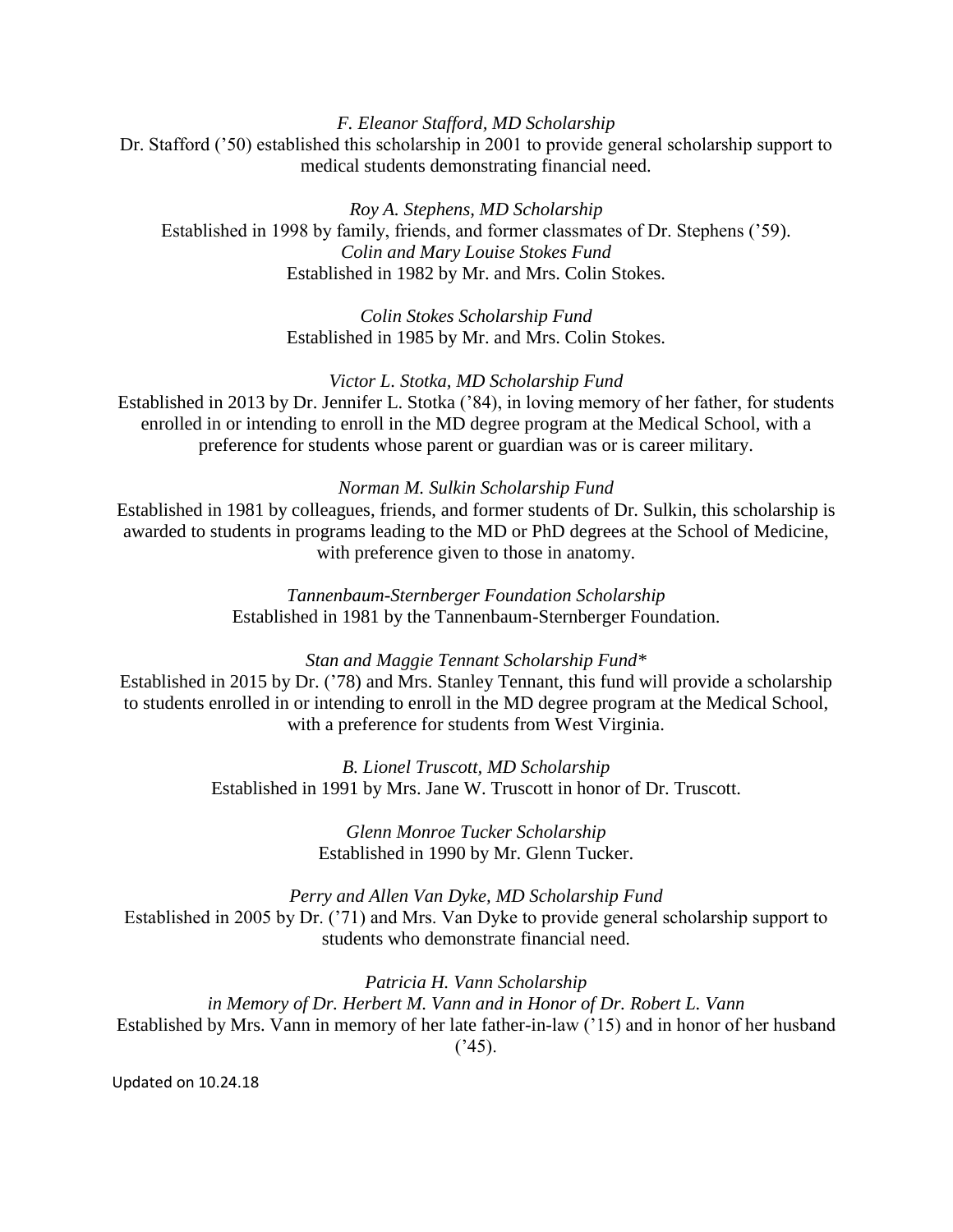# *F. Eleanor Stafford, MD Scholarship* Dr. Stafford ('50) established this scholarship in 2001 to provide general scholarship support to medical students demonstrating financial need.

*Roy A. Stephens, MD Scholarship* Established in 1998 by family, friends, and former classmates of Dr. Stephens ('59). *Colin and Mary Louise Stokes Fund* Established in 1982 by Mr. and Mrs. Colin Stokes.

> *Colin Stokes Scholarship Fund* Established in 1985 by Mr. and Mrs. Colin Stokes.

*Victor L. Stotka, MD Scholarship Fund* Established in 2013 by Dr. Jennifer L. Stotka ('84), in loving memory of her father, for students enrolled in or intending to enroll in the MD degree program at the Medical School, with a preference for students whose parent or guardian was or is career military.

### *Norman M. Sulkin Scholarship Fund*

Established in 1981 by colleagues, friends, and former students of Dr. Sulkin, this scholarship is awarded to students in programs leading to the MD or PhD degrees at the School of Medicine, with preference given to those in anatomy.

> *Tannenbaum-Sternberger Foundation Scholarship* Established in 1981 by the Tannenbaum-Sternberger Foundation.

### *Stan and Maggie Tennant Scholarship Fund\**

Established in 2015 by Dr. ('78) and Mrs. Stanley Tennant, this fund will provide a scholarship to students enrolled in or intending to enroll in the MD degree program at the Medical School, with a preference for students from West Virginia.

> *B. Lionel Truscott, MD Scholarship* Established in 1991 by Mrs. Jane W. Truscott in honor of Dr. Truscott.

> > *Glenn Monroe Tucker Scholarship* Established in 1990 by Mr. Glenn Tucker.

*Perry and Allen Van Dyke, MD Scholarship Fund* Established in 2005 by Dr. ('71) and Mrs. Van Dyke to provide general scholarship support to students who demonstrate financial need.

*Patricia H. Vann Scholarship in Memory of Dr. Herbert M. Vann and in Honor of Dr. Robert L. Vann* Established by Mrs. Vann in memory of her late father-in-law ('15) and in honor of her husband  $(^{2}45)$ .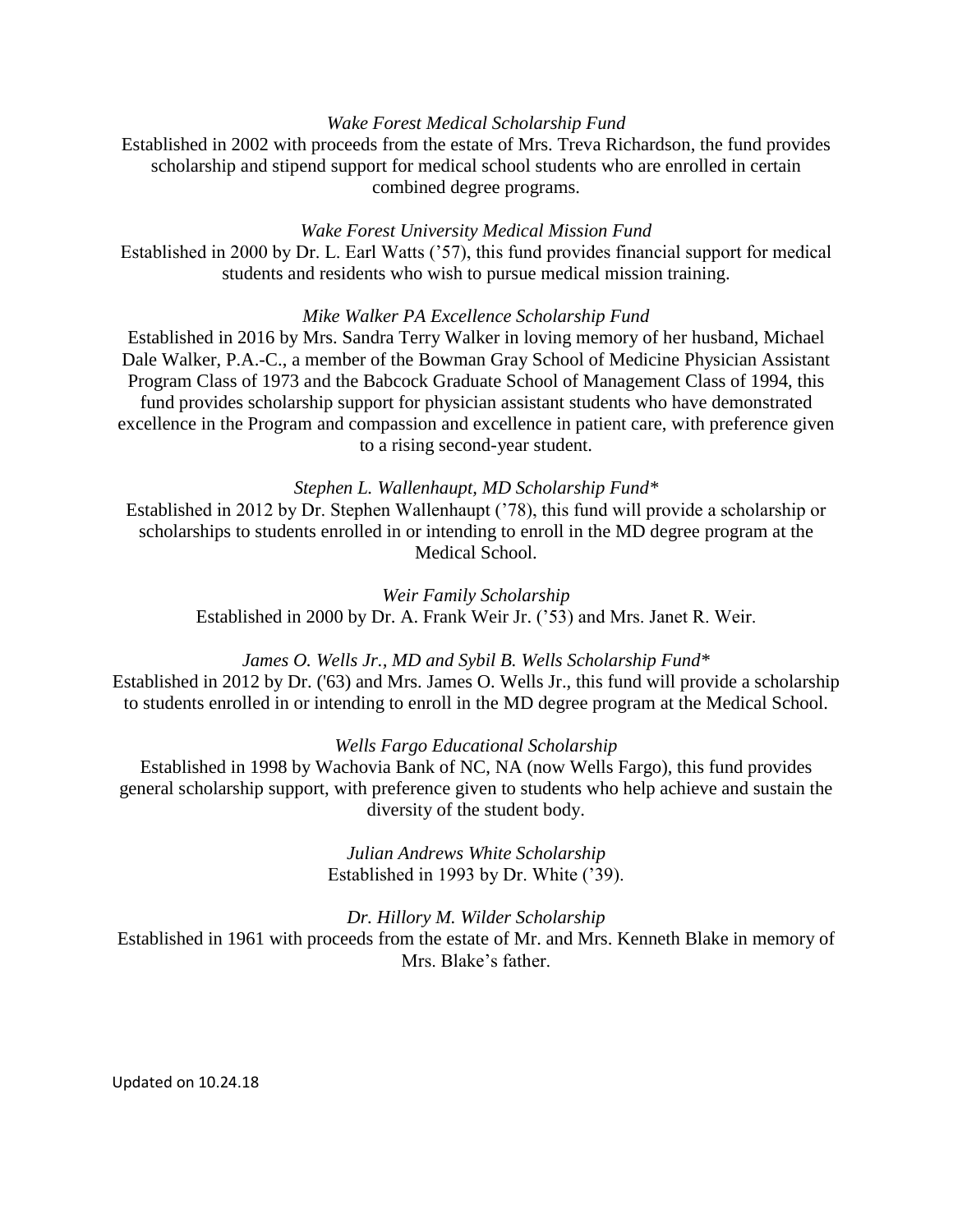# *Wake Forest Medical Scholarship Fund*

Established in 2002 with proceeds from the estate of Mrs. Treva Richardson, the fund provides scholarship and stipend support for medical school students who are enrolled in certain combined degree programs.

### *Wake Forest University Medical Mission Fund*

Established in 2000 by Dr. L. Earl Watts ('57), this fund provides financial support for medical students and residents who wish to pursue medical mission training.

### *Mike Walker PA Excellence Scholarship Fund*

Established in 2016 by Mrs. Sandra Terry Walker in loving memory of her husband, Michael Dale Walker, P.A.-C., a member of the Bowman Gray School of Medicine Physician Assistant Program Class of 1973 and the Babcock Graduate School of Management Class of 1994, this fund provides scholarship support for physician assistant students who have demonstrated excellence in the Program and compassion and excellence in patient care, with preference given to a rising second-year student.

## *Stephen L. Wallenhaupt, MD Scholarship Fund\**

Established in 2012 by Dr. Stephen Wallenhaupt ('78), this fund will provide a scholarship or scholarships to students enrolled in or intending to enroll in the MD degree program at the Medical School.

*Weir Family Scholarship* Established in 2000 by Dr. A. Frank Weir Jr. ('53) and Mrs. Janet R. Weir.

# *James O. Wells Jr., MD and Sybil B. Wells Scholarship Fund\**

Established in 2012 by Dr. ('63) and Mrs. James O. Wells Jr., this fund will provide a scholarship to students enrolled in or intending to enroll in the MD degree program at the Medical School.

### *Wells Fargo Educational Scholarship*

Established in 1998 by Wachovia Bank of NC, NA (now Wells Fargo), this fund provides general scholarship support, with preference given to students who help achieve and sustain the diversity of the student body.

> *Julian Andrews White Scholarship* Established in 1993 by Dr. White ('39).

*Dr. Hillory M. Wilder Scholarship* Established in 1961 with proceeds from the estate of Mr. and Mrs. Kenneth Blake in memory of Mrs. Blake's father.